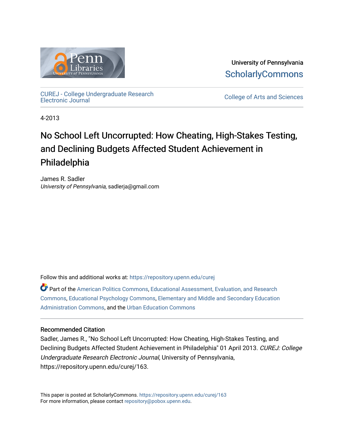

University of Pennsylvania **ScholarlyCommons** 

[CUREJ - College Undergraduate Research](https://repository.upenn.edu/curej) 

College of Arts and Sciences

4-2013

# No School Left Uncorrupted: How Cheating, High-Stakes Testing, and Declining Budgets Affected Student Achievement in Philadelphia

James R. Sadler University of Pennsylvania, sadlerja@gmail.com

Follow this and additional works at: [https://repository.upenn.edu/curej](https://repository.upenn.edu/curej?utm_source=repository.upenn.edu%2Fcurej%2F163&utm_medium=PDF&utm_campaign=PDFCoverPages)

Part of the [American Politics Commons,](http://network.bepress.com/hgg/discipline/387?utm_source=repository.upenn.edu%2Fcurej%2F163&utm_medium=PDF&utm_campaign=PDFCoverPages) [Educational Assessment, Evaluation, and Research](http://network.bepress.com/hgg/discipline/796?utm_source=repository.upenn.edu%2Fcurej%2F163&utm_medium=PDF&utm_campaign=PDFCoverPages)  [Commons](http://network.bepress.com/hgg/discipline/796?utm_source=repository.upenn.edu%2Fcurej%2F163&utm_medium=PDF&utm_campaign=PDFCoverPages), [Educational Psychology Commons,](http://network.bepress.com/hgg/discipline/798?utm_source=repository.upenn.edu%2Fcurej%2F163&utm_medium=PDF&utm_campaign=PDFCoverPages) [Elementary and Middle and Secondary Education](http://network.bepress.com/hgg/discipline/790?utm_source=repository.upenn.edu%2Fcurej%2F163&utm_medium=PDF&utm_campaign=PDFCoverPages) [Administration Commons,](http://network.bepress.com/hgg/discipline/790?utm_source=repository.upenn.edu%2Fcurej%2F163&utm_medium=PDF&utm_campaign=PDFCoverPages) and the [Urban Education Commons](http://network.bepress.com/hgg/discipline/793?utm_source=repository.upenn.edu%2Fcurej%2F163&utm_medium=PDF&utm_campaign=PDFCoverPages) 

## Recommended Citation

Sadler, James R., "No School Left Uncorrupted: How Cheating, High-Stakes Testing, and Declining Budgets Affected Student Achievement in Philadelphia" 01 April 2013. CUREJ: College Undergraduate Research Electronic Journal, University of Pennsylvania, https://repository.upenn.edu/curej/163.

This paper is posted at ScholarlyCommons.<https://repository.upenn.edu/curej/163> For more information, please contact [repository@pobox.upenn.edu.](mailto:repository@pobox.upenn.edu)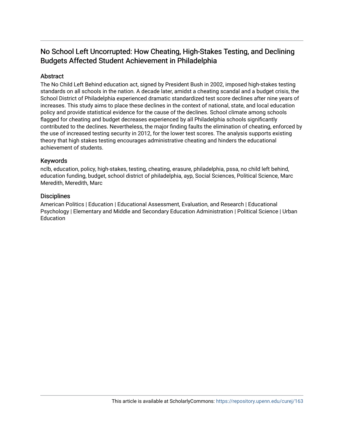# No School Left Uncorrupted: How Cheating, High-Stakes Testing, and Declining Budgets Affected Student Achievement in Philadelphia

# Abstract

The No Child Left Behind education act, signed by President Bush in 2002, imposed high-stakes testing standards on all schools in the nation. A decade later, amidst a cheating scandal and a budget crisis, the School District of Philadelphia experienced dramatic standardized test score declines after nine years of increases. This study aims to place these declines in the context of national, state, and local education policy and provide statistical evidence for the cause of the declines. School climate among schools flagged for cheating and budget decreases experienced by all Philadelphia schools significantly contributed to the declines. Nevertheless, the major finding faults the elimination of cheating, enforced by the use of increased testing security in 2012, for the lower test scores. The analysis supports existing theory that high stakes testing encourages administrative cheating and hinders the educational achievement of students.

## Keywords

nclb, education, policy, high-stakes, testing, cheating, erasure, philadelphia, pssa, no child left behind, education funding, budget, school district of philadelphia, ayp, Social Sciences, Political Science, Marc Meredith, Meredith, Marc

#### **Disciplines**

American Politics | Education | Educational Assessment, Evaluation, and Research | Educational Psychology | Elementary and Middle and Secondary Education Administration | Political Science | Urban **Education**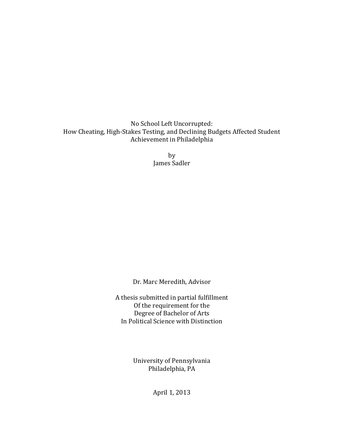No School Left Uncorrupted: How Cheating, High-Stakes Testing, and Declining Budgets Affected Student Achievement in Philadelphia

> by James Sadler

Dr. Marc Meredith, Advisor

A thesis submitted in partial fulfillment Of the requirement for the Degree of Bachelor of Arts In Political Science with Distinction

> University of Pennsylvania Philadelphia, PA

> > April 1, 2013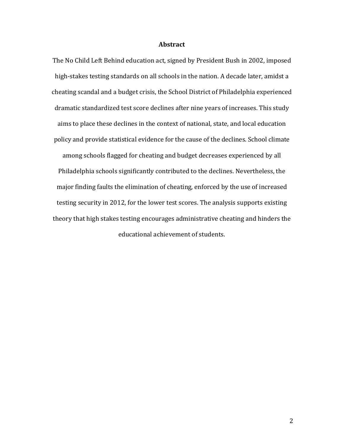#### **Abstract**

The No Child Left Behind education act, signed by President Bush in 2002, imposed high-stakes testing standards on all schools in the nation. A decade later, amidst a cheating scandal and a budget crisis, the School District of Philadelphia experienced dramatic standardized test score declines after nine years of increases. This study aims to place these declines in the context of national, state, and local education policy and provide statistical evidence for the cause of the declines. School climate among schools flagged for cheating and budget decreases experienced by all Philadelphia schools significantly contributed to the declines. Nevertheless, the major finding faults the elimination of cheating, enforced by the use of increased testing security in 2012, for the lower test scores. The analysis supports existing theory that high stakes testing encourages administrative cheating and hinders the educational achievement of students.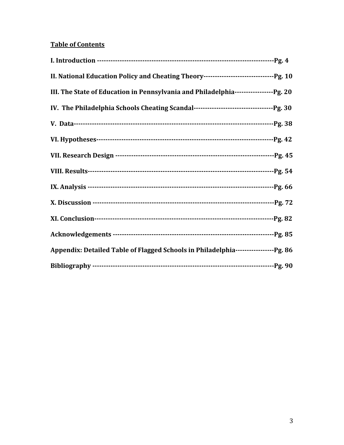# **Table of Contents**

| III. The State of Education in Pennsylvania and Philadelphia--------------------- Pg. 20 |  |
|------------------------------------------------------------------------------------------|--|
|                                                                                          |  |
|                                                                                          |  |
|                                                                                          |  |
|                                                                                          |  |
|                                                                                          |  |
|                                                                                          |  |
|                                                                                          |  |
|                                                                                          |  |
|                                                                                          |  |
| Appendix: Detailed Table of Flagged Schools in Philadelphia-------------------Pg. 86     |  |
|                                                                                          |  |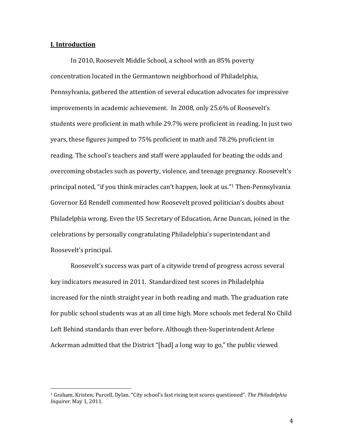#### **I. Introduction**

In 2010, Roosevelt Middle School, a school with an 85% poverty concentration located in the Germantown neighborhood of Philadelphia, Pennsylvania, gathered the attention of several education advocates for impressive improvements in academic achievement. In 2008, only 25.6% of Roosevelt's students were proficient in math while 29.7% were proficient in reading. In just two years, these figures jumped to 75% proficient in math and 78.2% proficient in reading. The school's teachers and staff were applauded for beating the odds and overcoming obstacles such as poverty, violence, and teenage pregnancy. Roosevelt's principal noted, "if you think miracles can't happen, look at us."<sup>1</sup> Then-Pennsylvania Governor Ed Rendell commented how Roosevelt proved politician's doubts about Philadelphia wrong. Even the US Secretary of Education, Arne Duncan, joined in the celebrations by personally congratulating Philadelphia's superintendant and Roosevelt's principal.

Roosevelt's success was part of a citywide trend of progress across several key indicators measured in 2011. Standardized test scores in Philadelphia increased for the ninth straight vear in both reading and math. The graduation rate for public school students was at an all time high. More schools met federal No Child Left Behind standards than ever before. Although then-Superintendent Arlene Ackerman admitted that the District "[had] a long way to go," the public viewed

<sup>&</sup>lt;sup>1</sup> Graham, Kristen; Purcell, Dylan. "City school's fast rising test scores questioned". *The Philadelphia Inquirer*. May 1, 2011.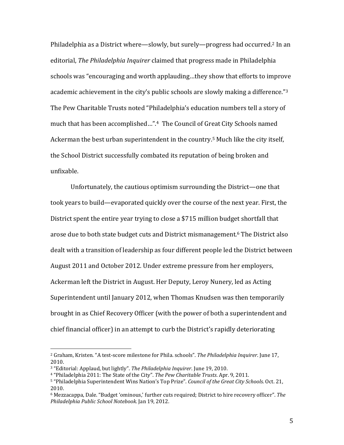Philadelphia as a District where—slowly, but surely—progress had occurred.<sup>2</sup> In an editorial, *The Philadelphia Inquirer* claimed that progress made in Philadelphia schools was "encouraging and worth applauding...they show that efforts to improve academic achievement in the city's public schools are slowly making a difference." $3$ The Pew Charitable Trusts noted "Philadelphia's education numbers tell a story of much that has been accomplished...".<sup>4</sup> The Council of Great City Schools named Ackerman the best urban superintendent in the country.<sup>5</sup> Much like the city itself, the School District successfully combated its reputation of being broken and unfixable. 

Unfortunately, the cautious optimism surrounding the District—one that took years to build—evaporated quickly over the course of the next year. First, the District spent the entire year trying to close a \$715 million budget shortfall that arose due to both state budget cuts and District mismanagement.<sup>6</sup> The District also dealt with a transition of leadership as four different people led the District between August 2011 and October 2012. Under extreme pressure from her employers, Ackerman left the District in August. Her Deputy, Leroy Nunery, led as Acting Superintendent until January 2012, when Thomas Knudsen was then temporarily brought in as Chief Recovery Officer (with the power of both a superintendent and chief financial officer) in an attempt to curb the District's rapidly deteriorating

<sup>&</sup>lt;sup>2</sup> Graham, Kristen. "A test-score milestone for Phila. schools". The Philadelphia Inquirer. June 17, 2010. 

<sup>&</sup>lt;sup>3</sup> "Editorial: Applaud, but lightly". The Philadelphia Inquirer. June 19, 2010.

<sup>&</sup>lt;sup>4</sup> "Philadelphia 2011: The State of the City". The Pew Charitable Trusts. Apr. 9, 2011.

<sup>5 &</sup>quot;Philadelphia Superintendent Wins Nation's Top Prize". *Council of the Great City Schools*. Oct. 21, 2010. 

 $6$  Mezzacappa, Dale. "Budget 'ominous,' further cuts required; District to hire recovery officer". The *Philadelphia Public School Notebook*. Jan 19, 2012.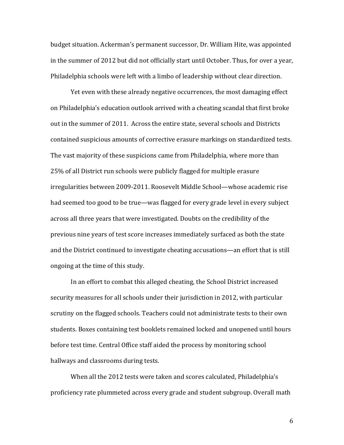budget situation. Ackerman's permanent successor, Dr. William Hite, was appointed in the summer of 2012 but did not officially start until October. Thus, for over a year, Philadelphia schools were left with a limbo of leadership without clear direction.

Yet even with these already negative occurrences, the most damaging effect on Philadelphia's education outlook arrived with a cheating scandal that first broke out in the summer of 2011. Across the entire state, several schools and Districts contained suspicious amounts of corrective erasure markings on standardized tests. The vast majority of these suspicions came from Philadelphia, where more than 25% of all District run schools were publicly flagged for multiple erasure irregularities between 2009-2011. Roosevelt Middle School—whose academic rise had seemed too good to be true—was flagged for every grade level in every subject across all three years that were investigated. Doubts on the credibility of the previous nine years of test score increases immediately surfaced as both the state and the District continued to investigate cheating accusations—an effort that is still ongoing at the time of this study.

In an effort to combat this alleged cheating, the School District increased security measures for all schools under their jurisdiction in 2012, with particular scrutiny on the flagged schools. Teachers could not administrate tests to their own students. Boxes containing test booklets remained locked and unopened until hours before test time. Central Office staff aided the process by monitoring school hallways and classrooms during tests.

When all the 2012 tests were taken and scores calculated, Philadelphia's proficiency rate plummeted across every grade and student subgroup. Overall math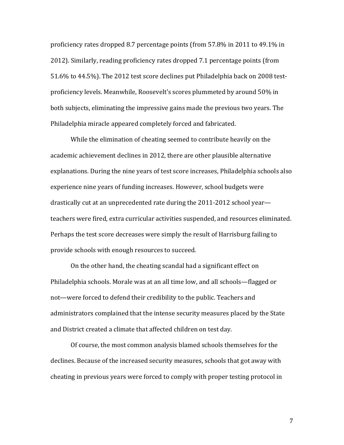proficiency rates dropped 8.7 percentage points (from  $57.8\%$  in 2011 to 49.1% in 2012). Similarly, reading proficiency rates dropped 7.1 percentage points (from 51.6% to 44.5%). The 2012 test score declines put Philadelphia back on 2008 testproficiency levels. Meanwhile, Roosevelt's scores plummeted by around 50% in both subjects, eliminating the impressive gains made the previous two years. The Philadelphia miracle appeared completely forced and fabricated.

While the elimination of cheating seemed to contribute heavily on the academic achievement declines in 2012, there are other plausible alternative explanations. During the nine years of test score increases, Philadelphia schools also experience nine years of funding increases. However, school budgets were drastically cut at an unprecedented rate during the  $2011$ - $2012$  school yearteachers were fired, extra curricular activities suspended, and resources eliminated. Perhaps the test score decreases were simply the result of Harrisburg failing to provide schools with enough resources to succeed.

On the other hand, the cheating scandal had a significant effect on Philadelphia schools. Morale was at an all time low, and all schools—flagged or not—were forced to defend their credibility to the public. Teachers and administrators complained that the intense security measures placed by the State and District created a climate that affected children on test day.

Of course, the most common analysis blamed schools themselves for the declines. Because of the increased security measures, schools that got away with cheating in previous years were forced to comply with proper testing protocol in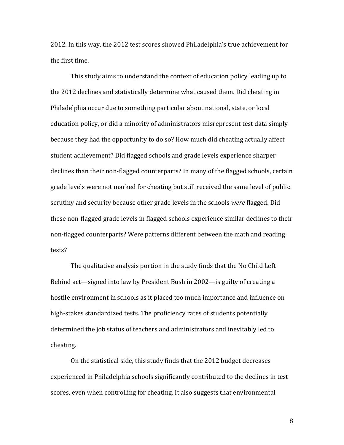2012. In this way, the 2012 test scores showed Philadelphia's true achievement for the first time.

This study aims to understand the context of education policy leading up to the 2012 declines and statistically determine what caused them. Did cheating in Philadelphia occur due to something particular about national, state, or local education policy, or did a minority of administrators misrepresent test data simply because they had the opportunity to do so? How much did cheating actually affect student achievement? Did flagged schools and grade levels experience sharper declines than their non-flagged counterparts? In many of the flagged schools, certain grade levels were not marked for cheating but still received the same level of public scrutiny and security because other grade levels in the schools *were* flagged. Did these non-flagged grade levels in flagged schools experience similar declines to their non-flagged counterparts? Were patterns different between the math and reading tests? 

The qualitative analysis portion in the study finds that the No Child Left Behind act—signed into law by President Bush in 2002—is guilty of creating a hostile environment in schools as it placed too much importance and influence on high-stakes standardized tests. The proficiency rates of students potentially determined the job status of teachers and administrators and inevitably led to cheating. 

On the statistical side, this study finds that the 2012 budget decreases experienced in Philadelphia schools significantly contributed to the declines in test scores, even when controlling for cheating. It also suggests that environmental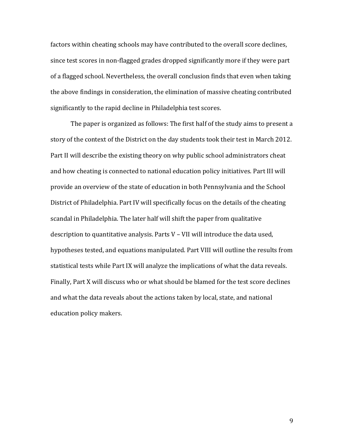factors within cheating schools may have contributed to the overall score declines, since test scores in non-flagged grades dropped significantly more if they were part of a flagged school. Nevertheless, the overall conclusion finds that even when taking the above findings in consideration, the elimination of massive cheating contributed significantly to the rapid decline in Philadelphia test scores.

The paper is organized as follows: The first half of the study aims to present a story of the context of the District on the day students took their test in March 2012. Part II will describe the existing theory on why public school administrators cheat and how cheating is connected to national education policy initiatives. Part III will provide an overview of the state of education in both Pennsylvania and the School District of Philadelphia. Part IV will specifically focus on the details of the cheating scandal in Philadelphia. The later half will shift the paper from qualitative description to quantitative analysis. Parts  $V$  – VII will introduce the data used, hypotheses tested, and equations manipulated. Part VIII will outline the results from statistical tests while Part IX will analyze the implications of what the data reveals. Finally, Part X will discuss who or what should be blamed for the test score declines and what the data reveals about the actions taken by local, state, and national education policy makers.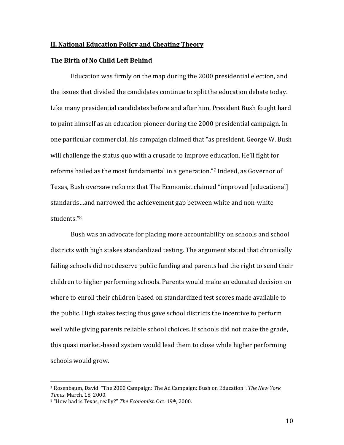#### **II. National Education Policy and Cheating Theory**

#### **The Birth of No Child Left Behind**

Education was firmly on the map during the 2000 presidential election, and the issues that divided the candidates continue to split the education debate today. Like many presidential candidates before and after him, President Bush fought hard to paint himself as an education pioneer during the 2000 presidential campaign. In one particular commercial, his campaign claimed that "as president, George W. Bush will challenge the status quo with a crusade to improve education. He'll fight for reforms hailed as the most fundamental in a generation."<sup>7</sup> Indeed, as Governor of Texas, Bush oversaw reforms that The Economist claimed "improved [educational] standards…and narrowed the achievement gap between white and non-white students."8 

Bush was an advocate for placing more accountability on schools and school districts with high stakes standardized testing. The argument stated that chronically failing schools did not deserve public funding and parents had the right to send their children to higher performing schools. Parents would make an educated decision on where to enroll their children based on standardized test scores made available to the public. High stakes testing thus gave school districts the incentive to perform well while giving parents reliable school choices. If schools did not make the grade, this quasi market-based system would lead them to close while higher performing schools would grow.

<sup>7</sup> Rosenbaum, David. "The 2000 Campaign: The Ad Campaign; Bush on Education". *The New York Times*. March, 18, 2000. 

<sup>&</sup>lt;sup>8</sup> "How bad is Texas, really?" *The Economist*. Oct. 19<sup>th</sup>, 2000.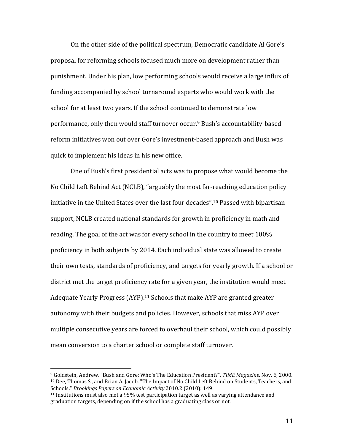On the other side of the political spectrum, Democratic candidate Al Gore's proposal for reforming schools focused much more on development rather than punishment. Under his plan, low performing schools would receive a large influx of funding accompanied by school turnaround experts who would work with the school for at least two years. If the school continued to demonstrate low performance, only then would staff turnover occur.<sup>9</sup> Bush's accountability-based reform initiatives won out over Gore's investment-based approach and Bush was quick to implement his ideas in his new office.

One of Bush's first presidential acts was to propose what would become the No Child Left Behind Act (NCLB), "arguably the most far-reaching education policy initiative in the United States over the last four decades".<sup>10</sup> Passed with bipartisan support, NCLB created national standards for growth in proficiency in math and reading. The goal of the act was for every school in the country to meet  $100\%$ proficiency in both subjects by 2014. Each individual state was allowed to create their own tests, standards of proficiency, and targets for yearly growth. If a school or district met the target proficiency rate for a given year, the institution would meet Adequate Yearly Progress (AYP).<sup>11</sup> Schools that make AYP are granted greater autonomy with their budgets and policies. However, schools that miss AYP over multiple consecutive years are forced to overhaul their school, which could possibly mean conversion to a charter school or complete staff turnover.

<sup>&</sup>lt;sup>9</sup> Goldstein, Andrew. "Bush and Gore: Who's The Education President?". TIME Magazine. Nov. 6, 2000. <sup>10</sup> Dee, Thomas S., and Brian A. Jacob. "The Impact of No Child Left Behind on Students, Teachers, and Schools." *Brookings Papers on Economic Activity* 2010.2 (2010): 149. 

 $11$  Institutions must also met a 95% test participation target as well as varying attendance and graduation targets, depending on if the school has a graduating class or not.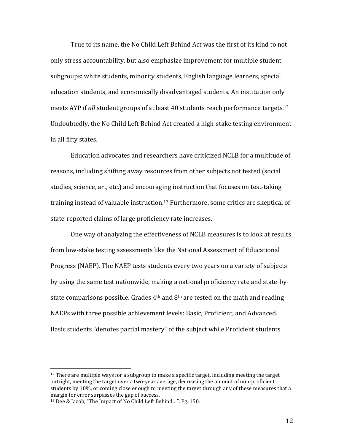True to its name, the No Child Left Behind Act was the first of its kind to not only stress accountability, but also emphasize improvement for multiple student subgroups: white students, minority students, English language learners, special education students, and economically disadvantaged students. An institution only meets AYP if *all* student groups of at least 40 students reach performance targets.<sup>12</sup> Undoubtedly, the No Child Left Behind Act created a high-stake testing environment in all fifty states.

Education advocates and researchers have criticized NCLB for a multitude of reasons, including shifting away resources from other subjects not tested (social studies, science, art, etc.) and encouraging instruction that focuses on test-taking training instead of valuable instruction.<sup>13</sup> Furthermore, some critics are skeptical of state-reported claims of large proficiency rate increases.

One way of analyzing the effectiveness of NCLB measures is to look at results from low-stake testing assessments like the National Assessment of Educational Progress (NAEP). The NAEP tests students every two years on a variety of subjects by using the same test nationwide, making a national proficiency rate and state-bystate comparisons possible. Grades  $4<sup>th</sup>$  and  $8<sup>th</sup>$  are tested on the math and reading NAEPs with three possible achievement levels: Basic, Proficient, and Advanced. Basic students "denotes partial mastery" of the subject while Proficient students

 $12$  There are multiple ways for a subgroup to make a specific target, including meeting the target outright, meeting the target over a two-year average, decreasing the amount of non-proficient students by 10%, or coming close enough to meeting the target through any of these measures that a margin for error surpasses the gap of success.

<sup>&</sup>lt;sup>13</sup> Dee & Jacob, "The Impact of No Child Left Behind...". Pg. 150.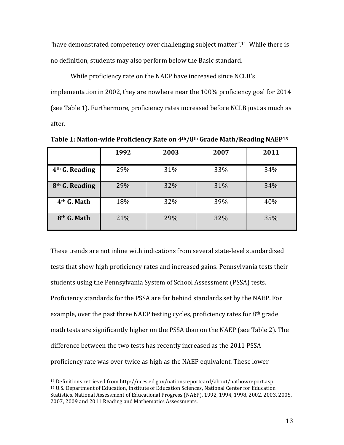"have demonstrated competency over challenging subject matter".<sup>14</sup> While there is no definition, students may also perform below the Basic standard.

While proficiency rate on the NAEP have increased since NCLB's implementation in 2002, they are nowhere near the 100% proficiency goal for 2014 (see Table 1). Furthermore, proficiency rates increased before NCLB just as much as after. 

|                            | 1992 | 2003 | 2007 | 2011 |
|----------------------------|------|------|------|------|
| 4 <sup>th</sup> G. Reading | 29%  | 31%  | 33%  | 34%  |
| 8 <sup>th</sup> G. Reading | 29%  | 32%  | 31%  | 34%  |
| 4 <sup>th</sup> G. Math    | 18%  | 32%  | 39%  | 40%  |
| 8 <sup>th</sup> G. Math    | 21%  | 29%  | 32%  | 35%  |

**Table 1: Nation‐wide Proficiency Rate on 4th/8th Grade Math/Reading NAEP15**

These trends are not inline with indications from several state-level standardized tests that show high proficiency rates and increased gains. Pennsylvania tests their students using the Pennsylvania System of School Assessment (PSSA) tests. Proficiency standards for the PSSA are far behind standards set by the NAEP. For example, over the past three NAEP testing cycles, proficiency rates for  $8<sup>th</sup>$  grade math tests are significantly higher on the PSSA than on the NAEP (see Table 2). The difference between the two tests has recently increased as the 2011 PSSA proficiency rate was over twice as high as the NAEP equivalent. These lower

 $14$  Definitions retrieved from http://nces.ed.gov/nationsreportcard/about/nathowreport.asp <sup>15</sup> U.S. Department of Education, Institute of Education Sciences, National Center for Education Statistics, National Assessment of Educational Progress (NAEP), 1992, 1994, 1998, 2002, 2003, 2005, 2007, 2009 and 2011 Reading and Mathematics Assessments.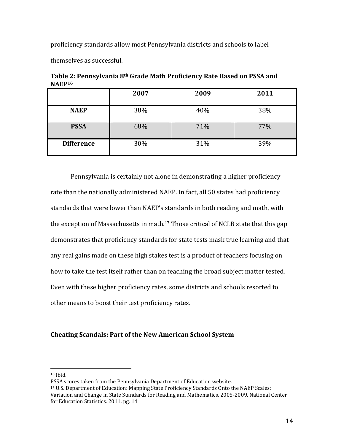proficiency standards allow most Pennsylvania districts and schools to label

themselves as successful.

| млы               |      |      |      |  |
|-------------------|------|------|------|--|
|                   | 2007 | 2009 | 2011 |  |
| <b>NAEP</b>       | 38%  | 40%  | 38%  |  |
| <b>PSSA</b>       | 68%  | 71%  | 77%  |  |
| <b>Difference</b> | 30%  | 31%  | 39%  |  |

**Table 2: Pennsylvania 8th Grade Math Proficiency Rate Based on PSSA and NAEP16**

Pennsylvania is certainly not alone in demonstrating a higher proficiency rate than the nationally administered NAEP. In fact, all 50 states had proficiency standards that were lower than NAEP's standards in both reading and math, with the exception of Massachusetts in math.<sup>17</sup> Those critical of NCLB state that this gap demonstrates that proficiency standards for state tests mask true learning and that any real gains made on these high stakes test is a product of teachers focusing on how to take the test itself rather than on teaching the broad subject matter tested. Even with these higher proficiency rates, some districts and schools resorted to other means to boost their test proficiency rates.

## **Cheating Scandals: Part of the New American School System**

 $16$  Ibid.

PSSA scores taken from the Pennsylvania Department of Education website.

<sup>&</sup>lt;sup>17</sup> U.S. Department of Education: Mapping State Proficiency Standards Onto the NAEP Scales: Variation and Change in State Standards for Reading and Mathematics, 2005-2009. National Center for Education Statistics. 2011. pg. 14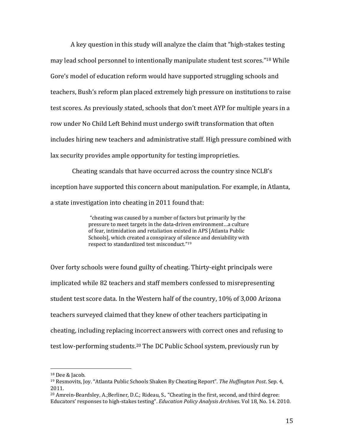A key question in this study will analyze the claim that "high-stakes testing" may lead school personnel to intentionally manipulate student test scores."<sup>18</sup> While Gore's model of education reform would have supported struggling schools and teachers, Bush's reform plan placed extremely high pressure on institutions to raise test scores. As previously stated, schools that don't meet AYP for multiple years in a row under No Child Left Behind must undergo swift transformation that often includes hiring new teachers and administrative staff. High pressure combined with lax security provides ample opportunity for testing improprieties.

Cheating scandals that have occurred across the country since NCLB's inception have supported this concern about manipulation. For example, in Atlanta, a state investigation into cheating in 2011 found that:

> "cheating was caused by a number of factors but primarily by the pressure to meet targets in the data-driven environment...a culture of fear, intimidation and retaliation existed in APS [Atlanta Public Schools], which created a conspiracy of silence and deniability with respect to standardized test misconduct."<sup>19</sup>

Over forty schools were found guilty of cheating. Thirty-eight principals were implicated while 82 teachers and staff members confessed to misrepresenting student test score data. In the Western half of the country, 10% of 3,000 Arizona teachers surveyed claimed that they knew of other teachers participating in cheating, including replacing incorrect answers with correct ones and refusing to test low-performing students.<sup>20</sup> The DC Public School system, previously run by

<sup>&</sup>lt;sup>18</sup> Dee & Jacob.

<sup>19</sup> Resmovits, Joy. "Atlanta Public Schools Shaken By Cheating Report". *The Huffington Post*. Sep. 4, 2011. 

 $^{20}$  Amrein-Beardsley, A.;Berliner, D.C.; Rideau, S.. "Cheating in the first, second, and third degree: Educators' responses to high-stakes testing". *Education Policy Analysis Archives*. Vol 18, No. 14. 2010.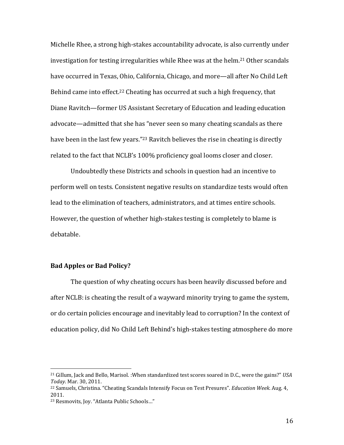Michelle Rhee, a strong high-stakes accountability advocate, is also currently under investigation for testing irregularities while Rhee was at the helm.<sup>21</sup> Other scandals have occurred in Texas, Ohio, California, Chicago, and more—all after No Child Left Behind came into effect.<sup>22</sup> Cheating has occurred at such a high frequency, that Diane Ravitch—former US Assistant Secretary of Education and leading education advocate—admitted that she has "never seen so many cheating scandals as there have been in the last few years."<sup>23</sup> Ravitch believes the rise in cheating is directly related to the fact that NCLB's 100% proficiency goal looms closer and closer.

Undoubtedly these Districts and schools in question had an incentive to perform well on tests. Consistent negative results on standardize tests would often lead to the elimination of teachers, administrators, and at times entire schools. However, the question of whether high-stakes testing is completely to blame is debatable. 

# **Bad Apples or Bad Policy?**

The question of why cheating occurs has been heavily discussed before and after NCLB: is cheating the result of a wayward minority trying to game the system, or do certain policies encourage and inevitably lead to corruption? In the context of education policy, did No Child Left Behind's high-stakes testing atmosphere do more

<sup>&</sup>lt;sup>21</sup> Gillum, Jack and Bello, Marisol. :When standardized test scores soared in D.C., were the gains?" USA *Today*. Mar. 30, 2011. 

<sup>&</sup>lt;sup>22</sup> Samuels, Christina. "Cheating Scandals Intensify Focus on Test Presures". *Education Week*. Aug. 4, 2011.

<sup>&</sup>lt;sup>23</sup> Resmovits, Joy. "Atlanta Public Schools..."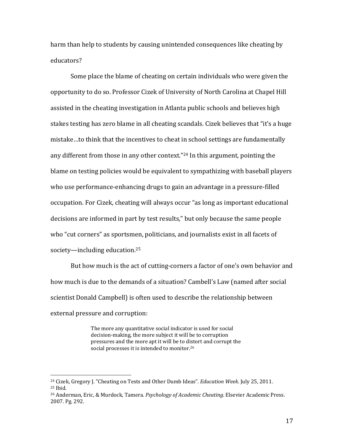harm than help to students by causing unintended consequences like cheating by educators? 

Some place the blame of cheating on certain individuals who were given the opportunity to do so. Professor Cizek of University of North Carolina at Chapel Hill assisted in the cheating investigation in Atlanta public schools and believes high stakes testing has zero blame in all cheating scandals. Cizek believes that "it's a huge mistake...to think that the incentives to cheat in school settings are fundamentally any different from those in any other context."<sup>24</sup> In this argument, pointing the blame on testing policies would be equivalent to sympathizing with baseball players who use performance-enhancing drugs to gain an advantage in a pressure-filled occupation. For Cizek, cheating will always occur "as long as important educational decisions are informed in part by test results," but only because the same people who "cut corners" as sportsmen, politicians, and journalists exist in all facets of society—including education. $25$ 

But how much is the act of cutting-corners a factor of one's own behavior and how much is due to the demands of a situation? Cambell's Law (named after social scientist Donald Campbell) is often used to describe the relationship between external pressure and corruption:

> The more any quantitative social indicator is used for social decision-making, the more subject it will be to corruption pressures and the more apt it will be to distort and corrupt the social processes it is intended to monitor.<sup>26</sup>

<sup>&</sup>lt;sup>24</sup> Cizek, Gregory J. "Cheating on Tests and Other Dumb Ideas". *Education Week*. July 25, 2011.  $25$  Ihid.

<sup>&</sup>lt;sup>26</sup> Anderman, Eric, & Murdock, Tamera. *Psychology of Academic Cheating*. Elsevier Academic Press. 2007. Pg. 292.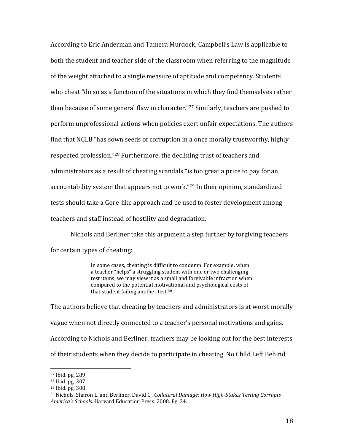According to Eric Anderman and Tamera Murdock, Campbell's Law is applicable to both the student and teacher side of the classroom when referring to the magnitude of the weight attached to a single measure of aptitude and competency. Students who cheat "do so as a function of the situations in which they find themselves rather than because of some general flaw in character."<sup>27</sup> Similarly, teachers are pushed to perform unprofessional actions when policies exert unfair expectations. The authors find that NCLB "has sown seeds of corruption in a once morally trustworthy, highly respected profession."<sup>28</sup> Furthermore, the declining trust of teachers and administrators as a result of cheating scandals "is too great a price to pay for an accountability system that appears not to work."<sup>29</sup> In their opinion, standardized tests should take a Gore-like approach and be used to foster development among teachers and staff instead of hostility and degradation.

Nichols and Berliner take this argument a step further by forgiving teachers for certain types of cheating:

> In some cases, cheating is difficult to condemn. For example, when a teacher "helps" a struggling student with one or two challenging test items, we may view it as a small and forgivable infraction when compared to the potential motivational and psychological costs of that student failing another test. $30$

The authors believe that cheating by teachers and administrators is at worst morally vague when not directly connected to a teacher's personal motivations and gains. According to Nichols and Berliner, teachers may be looking out for the best interests of their students when they decide to participate in cheating. No Child Left Behind

 $27$  Ibid. pg. 289

<sup>28</sup> Ibid. pg. 307 

<sup>29</sup> Ibid. pg. 308 

<sup>30</sup> Nichols, Sharon L. and Berliner, David C.. *Collateral Damage: How High‐Stakes Testing Corrupts America's Schools*. Harvard Education Press. 2008. Pg. 34.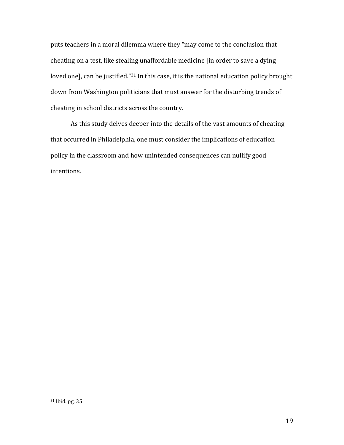puts teachers in a moral dilemma where they "may come to the conclusion that cheating on a test, like stealing unaffordable medicine [in order to save a dying loved one], can be justified."<sup>31</sup> In this case, it is the national education policy brought down from Washington politicians that must answer for the disturbing trends of cheating in school districts across the country.

As this study delves deeper into the details of the vast amounts of cheating that occurred in Philadelphia, one must consider the implications of education policy in the classroom and how unintended consequences can nullify good intentions.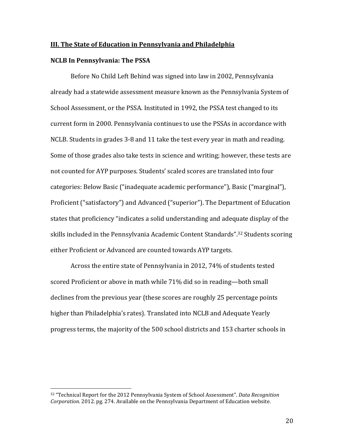#### **III. The State of Education in Pennsylvania and Philadelphia**

#### **NCLB In Pennsylvania: The PSSA**

 

Before No Child Left Behind was signed into law in 2002, Pennsylvania already had a statewide assessment measure known as the Pennsylvania System of School Assessment, or the PSSA. Instituted in 1992, the PSSA test changed to its current form in 2000. Pennsylvania continues to use the PSSAs in accordance with NCLB. Students in grades 3-8 and 11 take the test every year in math and reading. Some of those grades also take tests in science and writing; however, these tests are not counted for AYP purposes. Students' scaled scores are translated into four categories: Below Basic ("inadequate academic performance"), Basic ("marginal"), Proficient ("satisfactory") and Advanced ("superior"). The Department of Education states that proficiency "indicates a solid understanding and adequate display of the skills included in the Pennsylvania Academic Content Standards".<sup>32</sup> Students scoring either Proficient or Advanced are counted towards AYP targets.

Across the entire state of Pennsylvania in 2012, 74% of students tested scored Proficient or above in math while 71% did so in reading—both small declines from the previous year (these scores are roughly 25 percentage points higher than Philadelphia's rates). Translated into NCLB and Adequate Yearly progress terms, the majority of the 500 school districts and 153 charter schools in

<sup>&</sup>lt;sup>32</sup> "Technical Report for the 2012 Pennsylvania System of School Assessment". *Data Recognition Corporation.* 2012. pg. 274. Available on the Pennsylvania Department of Education website.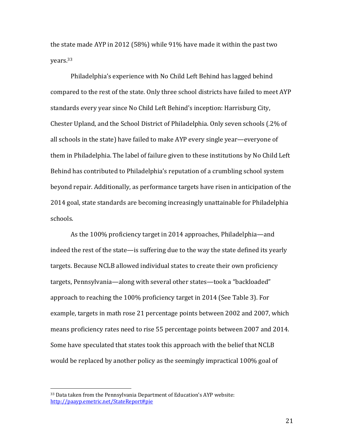the state made AYP in 2012 (58%) while  $91\%$  have made it within the past two years.33 

Philadelphia's experience with No Child Left Behind has lagged behind compared to the rest of the state. Only three school districts have failed to meet AYP standards every year since No Child Left Behind's inception: Harrisburg City, Chester Upland, and the School District of Philadelphia. Only seven schools (.2% of all schools in the state) have failed to make AYP every single year—everyone of them in Philadelphia. The label of failure given to these institutions by No Child Left Behind has contributed to Philadelphia's reputation of a crumbling school system beyond repair. Additionally, as performance targets have risen in anticipation of the 2014 goal, state standards are becoming increasingly unattainable for Philadelphia schools. 

As the 100% proficiency target in 2014 approaches, Philadelphia—and indeed the rest of the state—is suffering due to the way the state defined its yearly targets. Because NCLB allowed individual states to create their own proficiency targets, Pennsylvania—along with several other states—took a "backloaded" approach to reaching the 100% proficiency target in 2014 (See Table 3). For example, targets in math rose 21 percentage points between 2002 and 2007, which means proficiency rates need to rise 55 percentage points between 2007 and 2014. Some have speculated that states took this approach with the belief that NCLB would be replaced by another policy as the seemingly impractical 100% goal of

 $33$  Data taken from the Pennsylvania Department of Education's AYP website: http://paayp.emetric.net/StateReport#pie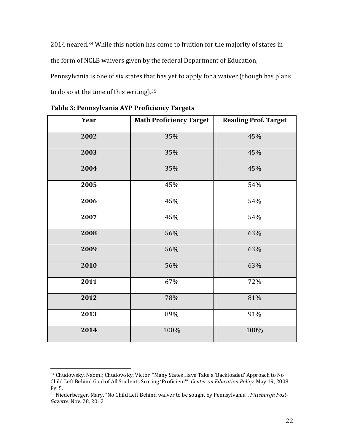2014 neared.<sup>34</sup> While this notion has come to fruition for the majority of states in

the form of NCLB waivers given by the federal Department of Education,

Pennsylvania is one of six states that has yet to apply for a waiver (though has plans

to do so at the time of this writing).

| Year | <b>Math Proficiency Target</b> | <b>Reading Prof. Target</b> |
|------|--------------------------------|-----------------------------|
| 2002 | 35%                            | 45%                         |
| 2003 | 35%                            | 45%                         |
| 2004 | 35%                            | 45%                         |
| 2005 | 45%                            | 54%                         |
| 2006 | 45%                            | 54%                         |
| 2007 | 45%                            | 54%                         |
| 2008 | 56%                            | 63%                         |
| 2009 | 56%                            | 63%                         |
| 2010 | 56%                            | 63%                         |
| 2011 | 67%                            | 72%                         |
| 2012 | 78%                            | 81%                         |
| 2013 | 89%                            | 91%                         |
| 2014 | 100%                           | 100%                        |

**Table 3: Pennsylvania AYP Proficiency Targets** 

 Chudowsky, Naomi; Chudowsky, Victor. "Many States Have Take a 'Backloaded' Approach to No Child Left Behind Goal of All Students Scoring 'Proficient'". *Center on Education Policy*. May 19, 2008. Pg. 5. 

<sup>&</sup>lt;sup>35</sup> Niederberger, Mary. "No Child Left Behind waiver to be sought by Pennsylvania". Pittsburgh Post-*Gazette*. Nov. 28, 2012.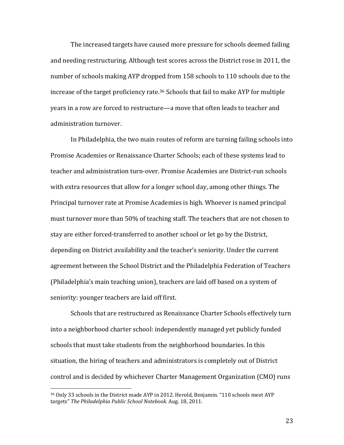The increased targets have caused more pressure for schools deemed failing and needing restructuring. Although test scores across the District rose in 2011, the number of schools making AYP dropped from 158 schools to 110 schools due to the increase of the target proficiency rate.<sup>36</sup> Schools that fail to make AYP for multiple years in a row are forced to restructure—a move that often leads to teacher and administration turnover.

In Philadelphia, the two main routes of reform are turning failing schools into Promise Academies or Renaissance Charter Schools; each of these systems lead to teacher and administration turn-over. Promise Academies are District-run schools with extra resources that allow for a longer school day, among other things. The Principal turnover rate at Promise Academies is high. Whoever is named principal must turnover more than 50% of teaching staff. The teachers that are not chosen to stay are either forced-transferred to another school or let go by the District, depending on District availability and the teacher's seniority. Under the current agreement between the School District and the Philadelphia Federation of Teachers (Philadelphia's main teaching union), teachers are laid off based on a system of seniority: younger teachers are laid off first.

Schools that are restructured as Renaissance Charter Schools effectively turn into a neighborhood charter school: independently managed yet publicly funded schools that must take students from the neighborhood boundaries. In this situation, the hiring of teachers and administrators is completely out of District control and is decided by whichever Charter Management Organization (CMO) runs

 

<sup>&</sup>lt;sup>36</sup> Only 33 schools in the District made AYP in 2012. Herold, Benjamin. "110 schools meet AYP targets" *The Philadelphia Public School Notebook*. Aug. 18, 2011.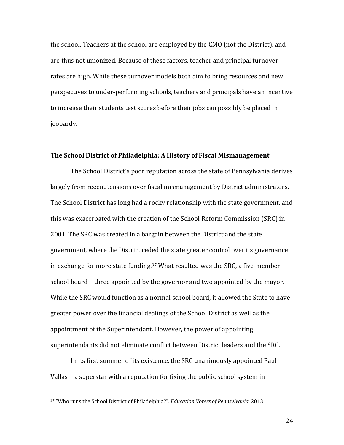the school. Teachers at the school are employed by the CMO (not the District), and are thus not unionized. Because of these factors, teacher and principal turnover rates are high. While these turnover models both aim to bring resources and new perspectives to under-performing schools, teachers and principals have an incentive to increase their students test scores before their jobs can possibly be placed in jeopardy. 

#### **The School District of Philadelphia: A History of Fiscal Mismanagement**

The School District's poor reputation across the state of Pennsylvania derives largely from recent tensions over fiscal mismanagement by District administrators. The School District has long had a rocky relationship with the state government, and this was exacerbated with the creation of the School Reform Commission (SRC) in 2001. The SRC was created in a bargain between the District and the state government, where the District ceded the state greater control over its governance in exchange for more state funding.<sup>37</sup> What resulted was the SRC, a five-member school board—three appointed by the governor and two appointed by the mayor. While the SRC would function as a normal school board, it allowed the State to have greater power over the financial dealings of the School District as well as the appointment of the Superintendant. However, the power of appointing superintendants did not eliminate conflict between District leaders and the SRC.

In its first summer of its existence, the SRC unanimously appointed Paul Vallas—a superstar with a reputation for fixing the public school system in

 

<sup>37 &</sup>quot;Who runs the School District of Philadelphia?". *Education Voters of Pennsylvania*. 2013.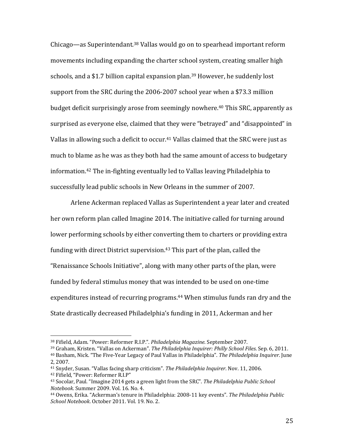Chicago—as Superintendant.<sup>38</sup> Vallas would go on to spearhead important reform movements including expanding the charter school system, creating smaller high schools, and a \$1.7 billion capital expansion plan.<sup>39</sup> However, he suddenly lost support from the SRC during the 2006-2007 school year when a \$73.3 million budget deficit surprisingly arose from seemingly nowhere.<sup>40</sup> This SRC, apparently as surprised as everyone else, claimed that they were "betrayed" and "disappointed" in Vallas in allowing such a deficit to occur.<sup>41</sup> Vallas claimed that the SRC were just as much to blame as he was as they both had the same amount of access to budgetary information.<sup>42</sup> The in-fighting eventually led to Vallas leaving Philadelphia to successfully lead public schools in New Orleans in the summer of 2007.

Arlene Ackerman replaced Vallas as Superintendent a year later and created her own reform plan called Imagine 2014. The initiative called for turning around lower performing schools by either converting them to charters or providing extra funding with direct District supervision.<sup>43</sup> This part of the plan, called the "Renaissance Schools Initiative", along with many other parts of the plan, were funded by federal stimulus money that was intended to be used on one-time expenditures instead of recurring programs.<sup>44</sup> When stimulus funds ran dry and the State drastically decreased Philadelphia's funding in 2011, Ackerman and her

39 Graham, Kristen. "Vallas on Ackerman". *The Philadelphia Inquirer: Philly School Files*. Sep. 6, 2011. 

- <sup>41</sup> Snyder, Susan. "Vallas facing sharp criticism". *The Philadelphia Inquirer*. Nov. 11, 2006.
- <sup>42</sup> Fifield, "Power: Reformer R.I.P"

<sup>38</sup> Fifield, Adam. "Power: Reformer R.I.P.". *Philadelphia Magazine*. September 2007. 

<sup>&</sup>lt;sup>40</sup> Basham, Nick. "The Five-Year Legacy of Paul Vallas in Philadelphia". The Philadelphia Inquirer. June 2, 2007. 

<sup>43</sup> Socolar, Paul. "Imagine 2014 gets a green light from the SRC". *The Philadelphia Public School Notebook.* Summer 2009. Vol. 16, No. 4.

<sup>&</sup>lt;sup>44</sup> Owens, Erika. "Ackerman's tenure in Philadelphia: 2008-11 key events". The Philadelphia Public *School Notebook*. October 2011. Vol. 19. No. 2.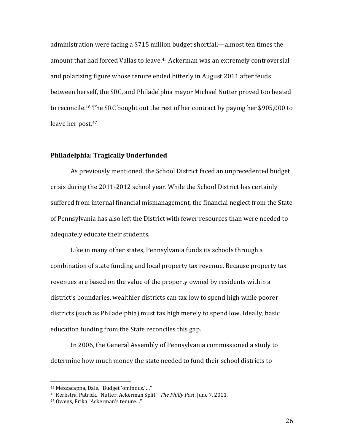administration were facing a \$715 million budget shortfall—almost ten times the amount that had forced Vallas to leave.<sup>45</sup> Ackerman was an extremely controversial and polarizing figure whose tenure ended bitterly in August 2011 after feuds between herself, the SRC, and Philadelphia mayor Michael Nutter proved too heated to reconcile.<sup>46</sup> The SRC bought out the rest of her contract by paying her \$905,000 to leave her post.<sup>47</sup>

# **Philadelphia: Tragically Underfunded**

As previously mentioned, the School District faced an unprecedented budget crisis during the  $2011$ -2012 school year. While the School District has certainly suffered from internal financial mismanagement, the financial neglect from the State of Pennsylvania has also left the District with fewer resources than were needed to adequately educate their students.

Like in many other states, Pennsylvania funds its schools through a combination of state funding and local property tax revenue. Because property tax revenues are based on the value of the property owned by residents within a district's boundaries, wealthier districts can tax low to spend high while poorer districts (such as Philadelphia) must tax high merely to spend low. Ideally, basic education funding from the State reconciles this gap.

In 2006, the General Assembly of Pennsylvania commissioned a study to determine how much money the state needed to fund their school districts to

<sup>&</sup>lt;sup>45</sup> Mezzacappa, Dale. "Budget 'ominous,'..."

<sup>46</sup> Kerkstra, Patrick. "Nutter, Ackerman Split". *The Philly Post*. June 7, 2011. 

<sup>&</sup>lt;sup>47</sup> Owens, Erika "Ackerman's tenure..."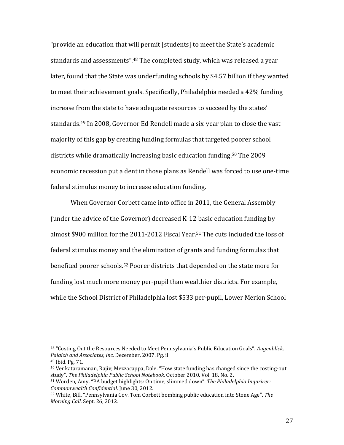"provide an education that will permit [students] to meet the State's academic standards and assessments".<sup>48</sup> The completed study, which was released a year later, found that the State was underfunding schools by \$4.57 billion if they wanted to meet their achievement goals. Specifically, Philadelphia needed a 42% funding increase from the state to have adequate resources to succeed by the states' standards.<sup>49</sup> In 2008, Governor Ed Rendell made a six-year plan to close the vast majority of this gap by creating funding formulas that targeted poorer school districts while dramatically increasing basic education funding.<sup>50</sup> The 2009 economic recession put a dent in those plans as Rendell was forced to use one-time federal stimulus money to increase education funding.

When Governor Corbett came into office in 2011, the General Assembly (under the advice of the Governor) decreased K-12 basic education funding by almost \$900 million for the 2011-2012 Fiscal Year.<sup>51</sup> The cuts included the loss of federal stimulus money and the elimination of grants and funding formulas that benefited poorer schools.<sup>52</sup> Poorer districts that depended on the state more for funding lost much more money per-pupil than wealthier districts. For example, while the School District of Philadelphia lost \$533 per-pupil, Lower Merion School

<sup>&</sup>lt;sup>48</sup> "Costing Out the Resources Needed to Meet Pennsylvania's Public Education Goals". Augenblick, *Palaich and Associates, Inc.* December, 2007. Pg. ii. 

<sup>49</sup> Ibid. Pg. 71. 

 $50$  Venkataramanan, Rajiv; Mezzacappa, Dale. "How state funding has changed since the costing-out study". *The Philadelphia Public School Notebook*. October 2010. Vol. 18. No. 2.

<sup>51</sup> Worden, Amy. "PA budget highlights: On time, slimmed down". *The Philadelphia Inqurirer: Commonwealth Confidential.* June 30, 2012.

<sup>&</sup>lt;sup>52</sup> White, Bill. "Pennsylvania Gov. Tom Corbett bombing public education into Stone Age". The *Morning Call.* Sept. 26, 2012.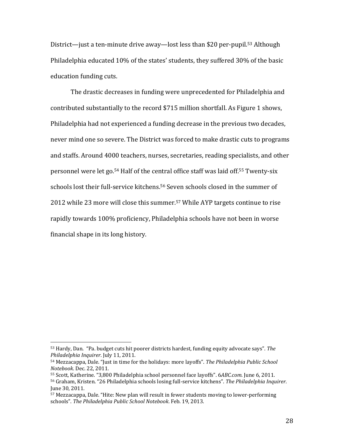District—just a ten-minute drive away—lost less than \$20 per-pupil.<sup>53</sup> Although Philadelphia educated 10% of the states' students, they suffered 30% of the basic education funding cuts.

The drastic decreases in funding were unprecedented for Philadelphia and contributed substantially to the record \$715 million shortfall. As Figure 1 shows, Philadelphia had not experienced a funding decrease in the previous two decades, never mind one so severe. The District was forced to make drastic cuts to programs and staffs. Around 4000 teachers, nurses, secretaries, reading specialists, and other personnel were let go.<sup>54</sup> Half of the central office staff was laid off.<sup>55</sup> Twenty-six schools lost their full-service kitchens.<sup>56</sup> Seven schools closed in the summer of 2012 while 23 more will close this summer.<sup>57</sup> While AYP targets continue to rise rapidly towards 100% proficiency, Philadelphia schools have not been in worse financial shape in its long history.

<sup>53</sup> Hardy, Dan. "Pa. budget cuts hit poorer districts hardest, funding equity advocate says". The *Philadelphia Inquirer*. July 11, 2011. 

<sup>54</sup> Mezzacappa, Dale. "Just in time for the holidays: more layoffs". The Philadelphia Public School *Notebook*. Dec. 22, 2011. 

<sup>55</sup> Scott, Katherine. "3,800 Philadelphia school personnel face layoffs". 6ABC.com. June 6, 2011.

<sup>56</sup> Graham, Kristen. "26 Philadelphia schools losing full‐service kitchens". *The Philadelphia Inquirer*. June 30, 2011.

 $57$  Mezzacappa, Dale. "Hite: New plan will result in fewer students moving to lower-performing schools". *The Philadelphia Public School Notebook*. Feb. 19, 2013.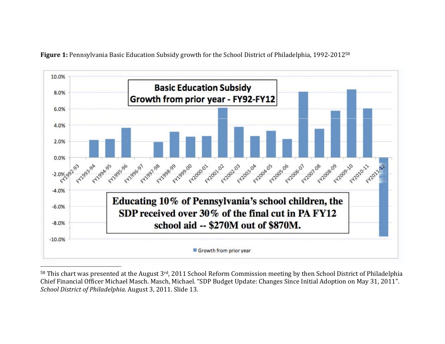

Figure 1: Pennsylvania Basic Education Subsidy growth for the School District of Philadelphia, 1992-2012<sup>58</sup>

 $58$  This chart was presented at the August  $3^{rd}$ , 2011 School Reform Commission meeting by then School District of Philadelphia Chief Financial Officer Michael Masch. Masch, Michael. "SDP Budget Update: Changes Since Initial Adoption on May 31, 2011". *School District of Philadelphia*. August 3, 2011. Slide 13.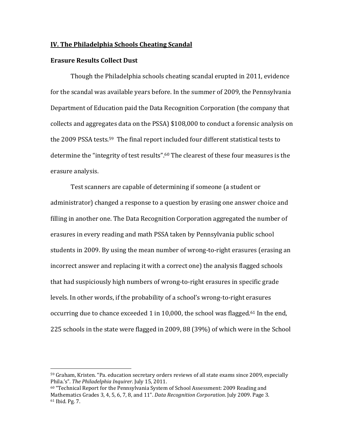#### **IV. The Philadelphia Schools Cheating Scandal**

#### **Erasure Results Collect Dust**

 

Though the Philadelphia schools cheating scandal erupted in 2011, evidence for the scandal was available years before. In the summer of 2009, the Pennsylvania Department of Education paid the Data Recognition Corporation (the company that collects and aggregates data on the PSSA) \$108,000 to conduct a forensic analysis on the  $2009$  PSSA tests.<sup>59</sup> The final report included four different statistical tests to determine the "integrity of test results".<sup>60</sup> The clearest of these four measures is the erasure analysis.

Test scanners are capable of determining if someone (a student or administrator) changed a response to a question by erasing one answer choice and filling in another one. The Data Recognition Corporation aggregated the number of erasures in every reading and math PSSA taken by Pennsylvania public school students in 2009. By using the mean number of wrong-to-right erasures (erasing an incorrect answer and replacing it with a correct one) the analysis flagged schools that had suspiciously high numbers of wrong-to-right erasures in specific grade levels. In other words, if the probability of a school's wrong-to-right erasures occurring due to chance exceeded 1 in 10,000, the school was flagged.<sup>61</sup> In the end, 225 schools in the state were flagged in 2009, 88 (39%) of which were in the School

<sup>&</sup>lt;sup>59</sup> Graham, Kristen. "Pa. education secretary orders reviews of all state exams since 2009, especially Phila.'s". The *Philadelphia Inquirer*. July 15, 2011.

 $60$  "Technical Report for the Pennsylvania System of School Assessment: 2009 Reading and Mathematics Grades 3, 4, 5, 6, 7, 8, and 11". *Data Recognition Corporation*. July 2009. Page 3.  $61$  Ibid. Pg. 7.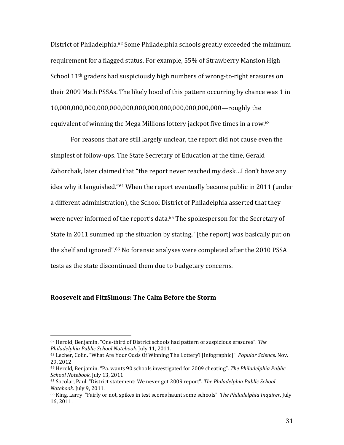District of Philadelphia.<sup>62</sup> Some Philadelphia schools greatly exceeded the minimum requirement for a flagged status. For example, 55% of Strawberry Mansion High School  $11<sup>th</sup>$  graders had suspiciously high numbers of wrong-to-right erasures on their 2009 Math PSSAs. The likely hood of this pattern occurring by chance was 1 in 10,000,000,000,000,000,000,000,000,000,000,000,000,000—roughly the equivalent of winning the Mega Millions lottery jackpot five times in a row.<sup>63</sup>

For reasons that are still largely unclear, the report did not cause even the simplest of follow-ups. The State Secretary of Education at the time, Gerald Zahorchak, later claimed that "the report never reached my desk...I don't have any idea why it languished."<sup>64</sup> When the report eventually became public in 2011 (under a different administration), the School District of Philadelphia asserted that they were never informed of the report's data.<sup>65</sup> The spokesperson for the Secretary of State in 2011 summed up the situation by stating, "[the report] was basically put on the shelf and ignored".<sup>66</sup> No forensic analyses were completed after the 2010 PSSA tests as the state discontinued them due to budgetary concerns.

#### **Roosevelt and FitzSimons: The Calm Before the Storm**

<sup>&</sup>lt;sup>62</sup> Herold, Benjamin. "One-third of District schools had pattern of suspicious erasures". The *Philadelphia Public School Notebook*. July 11, 2011. 

<sup>63</sup> Lecher, Colin. "What Are Your Odds Of Winning The Lottery? [Infographic]". Popular Science. Nov. 29, 2012. 

<sup>64</sup> Herold, Benjamin. "Pa. wants 90 schools investigated for 2009 cheating". *The Philadelphia Public School Notebook*. July 13, 2011. 

<sup>65</sup> Socolar, Paul. "District statement: We never got 2009 report". *The Philadelphia Public School Notebook.* July 9, 2011.

<sup>&</sup>lt;sup>66</sup> King, Larry. "Fairly or not, spikes in test scores haunt some schools". The *Philadelphia Inquirer*. July 16, 2011.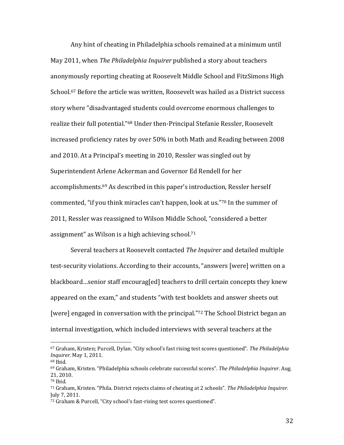Any hint of cheating in Philadelphia schools remained at a minimum until May 2011, when *The Philadelphia Inquirer* published a story about teachers anonymously reporting cheating at Roosevelt Middle School and FitzSimons High School.<sup>67</sup> Before the article was written, Roosevelt was hailed as a District success story where "disadvantaged students could overcome enormous challenges to realize their full potential."<sup>68</sup> Under then-Principal Stefanie Ressler, Roosevelt increased proficiency rates by over 50% in both Math and Reading between 2008 and 2010. At a Principal's meeting in 2010. Ressler was singled out by Superintendent Arlene Ackerman and Governor Ed Rendell for her accomplishments.<sup>69</sup> As described in this paper's introduction, Ressler herself commented, "if you think miracles can't happen, look at us."<sup>70</sup> In the summer of 2011, Ressler was reassigned to Wilson Middle School, "considered a better assignment" as Wilson is a high achieving school.<sup>71</sup>

Several teachers at Roosevelt contacted *The Inquirer* and detailed multiple test-security violations. According to their accounts, "answers [were] written on a blackboard…senior staff encourag[ed] teachers to drill certain concepts they knew appeared on the exam," and students "with test booklets and answer sheets out [were] engaged in conversation with the principal."<sup>72</sup> The School District began an internal investigation, which included interviews with several teachers at the

<sup>67</sup> Graham, Kristen; Purcell, Dylan. "City school's fast rising test scores questioned". The Philadelphia *Inquirer*. May 1, 2011.

<sup>68</sup> Ibid. 

<sup>69</sup> Graham, Kristen. "Philadelphia schools celebrate successful scores". *The Philadelphia Inquirer*. Aug. 21, 2010. 

 $70$  Ibid.

<sup>71</sup> Graham, Kristen. "Phila. District rejects claims of cheating at 2 schools". *The Philadelphia Inquirer*. July 7, 2011. 

<sup>72</sup> Graham & Purcell, "City school's fast-rising test scores questioned".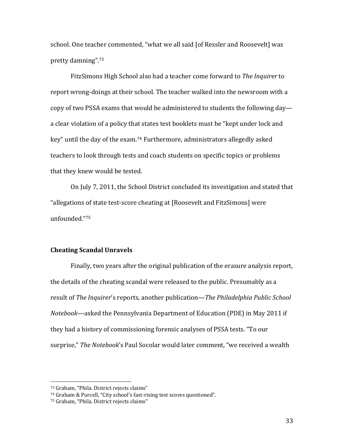school. One teacher commented, "what we all said [of Ressler and Roosevelt] was pretty damning".73 

FitzSimons High School also had a teacher come forward to *The Inquirer* to report wrong-doings at their school. The teacher walked into the newsroom with a copy of two PSSA exams that would be administered to students the following day a clear violation of a policy that states test booklets must be "kept under lock and key" until the day of the exam.<sup>74</sup> Furthermore, administrators allegedly asked teachers to look through tests and coach students on specific topics or problems that they knew would be tested.

On July 7, 2011, the School District concluded its investigation and stated that "allegations of state test-score cheating at [Roosevelt and FitzSimons] were unfounded."75

# **Cheating Scandal Unravels**

Finally, two years after the original publication of the erasure analysis report, the details of the cheating scandal were released to the public. Presumably as a result of *The Inquirer*'s reports, another publication—*The Philadelphia Public School Notebook*—asked the Pennsylvania Department of Education (PDE) in May 2011 if they had a history of commissioning forensic analyses of PSSA tests. "To our surprise," The Notebook's Paul Socolar would later comment, "we received a wealth

<sup>73</sup> Graham, "Phila. District rejects claims"

<sup>74</sup> Graham & Purcell, "City school's fast-rising test scores questioned".

<sup>75</sup> Graham, "Phila. District rejects claims"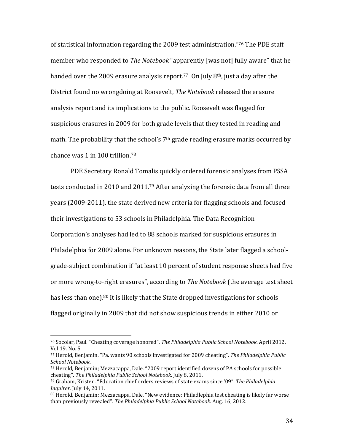of statistical information regarding the 2009 test administration."<sup>76</sup> The PDE staff member who responded to *The Notebook* "apparently [was not] fully aware" that he handed over the 2009 erasure analysis report.<sup>77</sup> On July  $8<sup>th</sup>$ , just a day after the District found no wrongdoing at Roosevelt, *The Notebook* released the erasure analysis report and its implications to the public. Roosevelt was flagged for suspicious erasures in 2009 for both grade levels that they tested in reading and math. The probability that the school's  $7<sup>th</sup>$  grade reading erasure marks occurred by chance was  $1$  in  $100$  trillion.<sup>78</sup>

PDE Secretary Ronald Tomalis quickly ordered forensic analyses from PSSA tests conducted in 2010 and 2011.<sup>79</sup> After analyzing the forensic data from all three years (2009-2011), the state derived new criteria for flagging schools and focused their investigations to 53 schools in Philadelphia. The Data Recognition Corporation's analyses had led to 88 schools marked for suspicious erasures in Philadelphia for 2009 alone. For unknown reasons, the State later flagged a schoolgrade-subject combination if "at least 10 percent of student response sheets had five or more wrong-to-right erasures", according to *The Notebook* (the average test sheet has less than one).<sup>80</sup> It is likely that the State dropped investigations for schools flagged originally in 2009 that did not show suspicious trends in either 2010 or

<sup>76</sup> Socolar, Paul. "Cheating coverage honored". *The Philadelphia Public School Notebook*. April 2012. Vol 19. No. 5.

<sup>77</sup> Herold, Benjamin. "Pa. wants 90 schools investigated for 2009 cheating". *The Philadelphia Public School Notebook*. 

 $78$  Herold, Benjamin; Mezzacappa, Dale.  $\degree$ 2009 report identified dozens of PA schools for possible cheating". *The Philadelphia Public School Notebook*. July 8, 2011. 

<sup>79</sup> Graham, Kristen. "Education chief orders reviews of state exams since '09". *The Philadelphia Inquirer*. July 14, 2011.

 $80$  Herold, Benjamin; Mezzacappa, Dale. "New evidence: Philadlephia test cheating is likely far worse than previously revealed". *The Philadelphia Public School Notebook*. Aug. 16, 2012.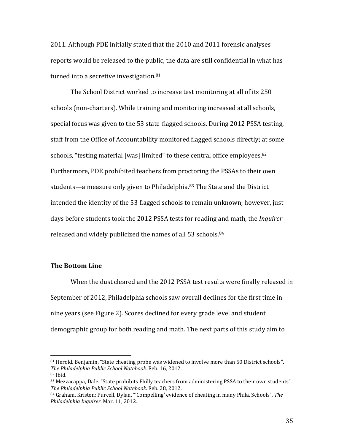2011. Although PDE initially stated that the 2010 and 2011 forensic analyses reports would be released to the public, the data are still confidential in what has turned into a secretive investigation. $81$ 

The School District worked to increase test monitoring at all of its 250 schools (non-charters). While training and monitoring increased at all schools, special focus was given to the 53 state-flagged schools. During 2012 PSSA testing, staff from the Office of Accountability monitored flagged schools directly; at some schools, "testing material [was] limited" to these central office employees.<sup>82</sup> Furthermore, PDE prohibited teachers from proctoring the PSSAs to their own students—a measure only given to Philadelphia. $83$  The State and the District intended the identity of the 53 flagged schools to remain unknown; however, just days before students took the 2012 PSSA tests for reading and math, the *Inquirer* released and widely publicized the names of all 53 schools.<sup>84</sup>

### **The Bottom Line**

 

When the dust cleared and the 2012 PSSA test results were finally released in September of 2012, Philadelphia schools saw overall declines for the first time in nine years (see Figure 2). Scores declined for every grade level and student demographic group for both reading and math. The next parts of this study aim to

<sup>81</sup> Herold, Benjamin. "State cheating probe was widened to involve more than 50 District schools". *The Philadelphia Public School Notebook*. Feb. 16, 2012.

 $82$  Ibid.

<sup>83</sup> Mezzacappa, Dale. "State prohibits Philly teachers from administering PSSA to their own students". *The Philadelphia Public School Notebook*. Feb. 28, 2012. 

<sup>84</sup> Graham, Kristen; Purcell, Dylan. "'Compelling' evidence of cheating in many Phila. Schools". The *Philadelphia Inquirer*. Mar. 11, 2012.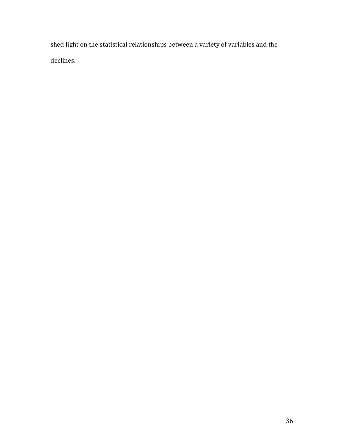shed light on the statistical relationships between a variety of variables and the declines.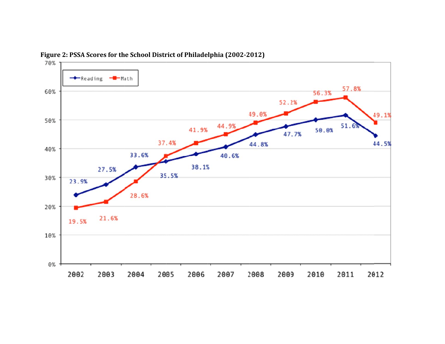

**Figure 2: PSS A Scores for th e School Dist rict of Philadelphia (2002‐2012)**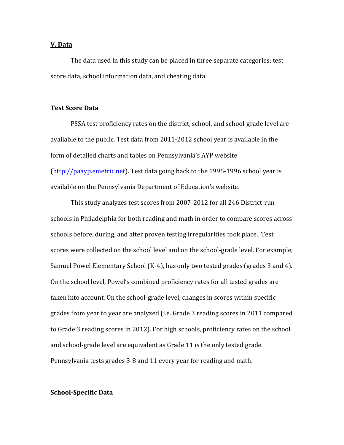#### **V. Data**

The data used in this study can be placed in three separate categories: test score data, school information data, and cheating data.

#### **Test Score Data**

PSSA test proficiency rates on the district, school, and school-grade level are available to the public. Test data from 2011-2012 school year is available in the form of detailed charts and tables on Pennsylvania's AYP website  $(\text{http://paavy.emetric.net}).$  Test data going back to the 1995-1996 school year is available on the Pennsylvania Department of Education's website.

This study analyzes test scores from 2007-2012 for all 246 District-run schools in Philadelphia for both reading and math in order to compare scores across schools before, during, and after proven testing irregularities took place. Test scores were collected on the school level and on the school-grade level. For example, Samuel Powel Elementary School (K-4), has only two tested grades (grades 3 and 4). On the school level, Powel's combined proficiency rates for all tested grades are taken into account. On the school-grade level, changes in scores within specific grades from year to year are analyzed (i.e. Grade 3 reading scores in 2011 compared to Grade 3 reading scores in 2012). For high schools, proficiency rates on the school and school-grade level are equivalent as Grade 11 is the only tested grade. Pennsylvania tests grades 3-8 and 11 every year for reading and math.

#### **School‐Specific Data**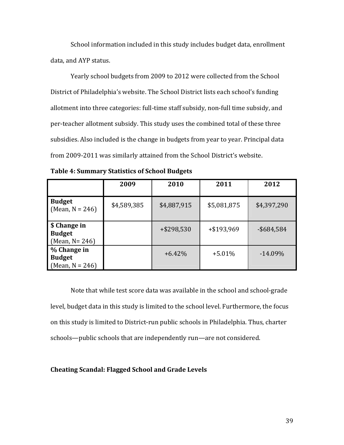School information included in this study includes budget data, enrollment data, and AYP status.

Yearly school budgets from 2009 to 2012 were collected from the School District of Philadelphia's website. The School District lists each school's funding allotment into three categories: full-time staff subsidy, non-full time subsidy, and per-teacher allotment subsidy. This study uses the combined total of these three subsidies. Also included is the change in budgets from year to year. Principal data from 2009-2011 was similarly attained from the School District's website.

|                                                     | 2009        | 2010        | 2011        | 2012          |
|-----------------------------------------------------|-------------|-------------|-------------|---------------|
| <b>Budget</b><br>$(Mean, N = 246)$                  | \$4,589,385 | \$4,887,915 | \$5,081,875 | \$4,397,290   |
| \$ Change in<br><b>Budget</b><br>(Mean, $N = 246$ ) |             | +\$298,530  | +\$193,969  | $-$ \$684,584 |
| % Change in<br><b>Budget</b><br>(Mean, $N = 246$ )  |             | $+6.42\%$   | $+5.01%$    | $-14.09\%$    |

| <b>Table 4: Summary Statistics of School Budgets</b> |  |  |  |  |  |
|------------------------------------------------------|--|--|--|--|--|
|------------------------------------------------------|--|--|--|--|--|

Note that while test score data was available in the school and school-grade level, budget data in this study is limited to the school level. Furthermore, the focus on this study is limited to District-run public schools in Philadelphia. Thus, charter schools—public schools that are independently run—are not considered.

### **Cheating Scandal: Flagged School and Grade Levels**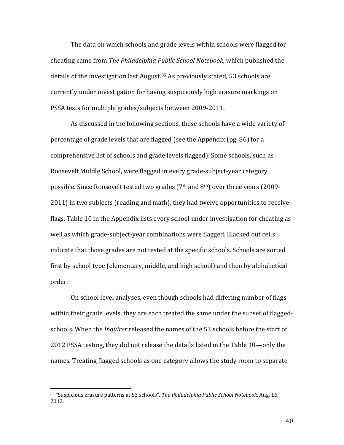The data on which schools and grade levels within schools were flagged for cheating came from *The Philadelphia Public School Notebook*, which published the details of the investigation last August. $85$  As previously stated, 53 schools are currently under investigation for having suspiciously high erasure markings on PSSA tests for multiple grades/subjects between 2009-2011.

As discussed in the following sections, these schools have a wide variety of percentage of grade levels that are flagged (see the Appendix (pg. 86) for a comprehensive list of schools and grade levels flagged). Some schools, such as Roosevelt Middle School, were flagged in every grade-subject-year category possible. Since Roosevelt tested two grades  $(7<sup>th</sup>$  and  $8<sup>th</sup>)$  over three years  $(2009 -$ 2011) in two subjects (reading and math), they had twelve opportunities to receive flags. Table 10 in the Appendix lists every school under investigation for cheating as well as which grade-subject-year combinations were flagged. Blacked out cells indicate that those grades are not tested at the specific schools. Schools are sorted first by school type (elementary, middle, and high school) and then by alphabetical order. 

On school level analyses, even though schools had differing number of flags within their grade levels, they are each treated the same under the subset of flaggedschools. When the *Inquirer* released the names of the 53 schools before the start of 2012 PSSA testing, they did not release the details listed in the Table 10—only the names. Treating flagged schools as one category allows the study room to separate

 

<sup>85 &</sup>quot;Suspicious erasure patterns at 53 schools". *The Philadelphia Public School Notebook*. Aug. 16, 2012.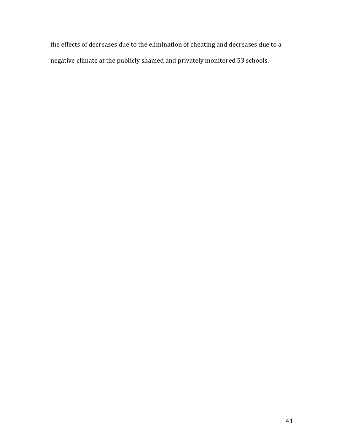the effects of decreases due to the elimination of cheating and decreases due to a negative climate at the publicly shamed and privately monitored 53 schools.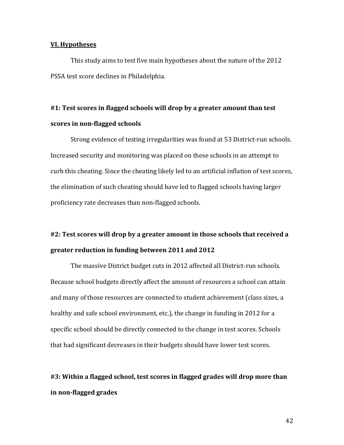#### **VI. Hypotheses**

This study aims to test five main hypotheses about the nature of the 2012 PSSA test score declines in Philadelphia.

# **#1: Test scores in flagged schools will drop by a greater amount than test scores in non‐flagged schools**

Strong evidence of testing irregularities was found at 53 District-run schools. Increased security and monitoring was placed on these schools in an attempt to curb this cheating. Since the cheating likely led to an artificial inflation of test scores, the elimination of such cheating should have led to flagged schools having larger proficiency rate decreases than non-flagged schools.

# **#2: Test scores will drop by a greater amount in those schools that received a greater reduction in funding between 2011 and 2012**

The massive District budget cuts in 2012 affected all District-run schools. Because school budgets directly affect the amount of resources a school can attain and many of those resources are connected to student achievement (class sizes, a healthy and safe school environment, etc.), the change in funding in 2012 for a specific school should be directly connected to the change in test scores. Schools that had significant decreases in their budgets should have lower test scores.

# **#3: Within a flagged school, test scores in flagged grades will drop more than in non‐flagged grades**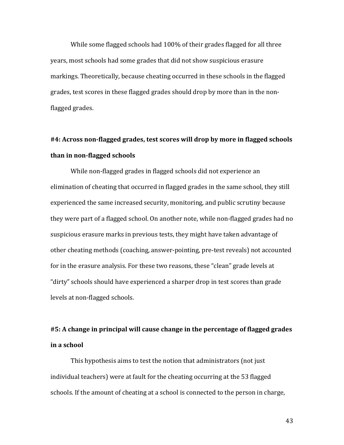While some flagged schools had 100% of their grades flagged for all three years, most schools had some grades that did not show suspicious erasure markings. Theoretically, because cheating occurred in these schools in the flagged grades, test scores in these flagged grades should drop by more than in the nonflagged grades.

# **#4: Across non‐flagged grades, test scores will drop by more in flagged schools than in non‐flagged schools**

While non-flagged grades in flagged schools did not experience an elimination of cheating that occurred in flagged grades in the same school, they still experienced the same increased security, monitoring, and public scrutiny because they were part of a flagged school. On another note, while non-flagged grades had no suspicious erasure marks in previous tests, they might have taken advantage of other cheating methods (coaching, answer-pointing, pre-test reveals) not accounted for in the erasure analysis. For these two reasons, these "clean" grade levels at "dirty" schools should have experienced a sharper drop in test scores than grade levels at non-flagged schools.

## **#5: A change in principal will cause change in the percentage of flagged grades in a school**

This hypothesis aims to test the notion that administrators (not just individual teachers) were at fault for the cheating occurring at the 53 flagged schools. If the amount of cheating at a school is connected to the person in charge,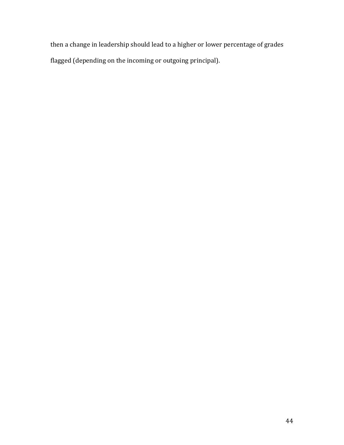then a change in leadership should lead to a higher or lower percentage of grades flagged (depending on the incoming or outgoing principal).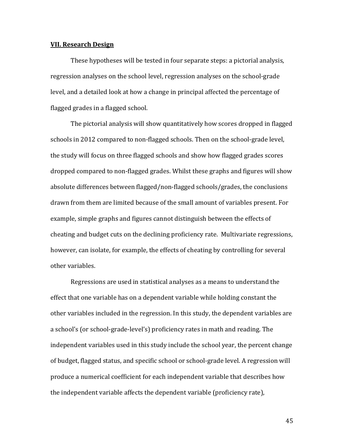#### **VII. Research Design**

These hypotheses will be tested in four separate steps: a pictorial analysis, regression analyses on the school level, regression analyses on the school-grade level, and a detailed look at how a change in principal affected the percentage of flagged grades in a flagged school.

The pictorial analysis will show quantitatively how scores dropped in flagged schools in 2012 compared to non-flagged schools. Then on the school-grade level, the study will focus on three flagged schools and show how flagged grades scores dropped compared to non-flagged grades. Whilst these graphs and figures will show absolute differences between flagged/non-flagged schools/grades, the conclusions drawn from them are limited because of the small amount of variables present. For example, simple graphs and figures cannot distinguish between the effects of cheating and budget cuts on the declining proficiency rate. Multivariate regressions, however, can isolate, for example, the effects of cheating by controlling for several other variables.

Regressions are used in statistical analyses as a means to understand the effect that one variable has on a dependent variable while holding constant the other variables included in the regression. In this study, the dependent variables are a school's (or school-grade-level's) proficiency rates in math and reading. The independent variables used in this study include the school year, the percent change of budget, flagged status, and specific school or school-grade level. A regression will produce a numerical coefficient for each independent variable that describes how the independent variable affects the dependent variable (proficiency rate),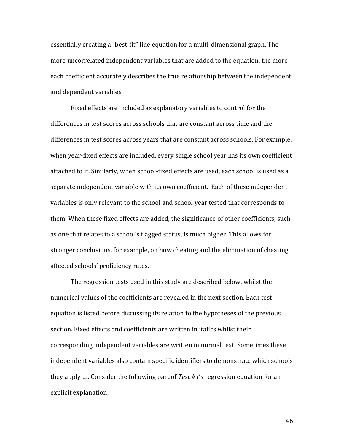essentially creating a "best-fit" line equation for a multi-dimensional graph. The more uncorrelated independent variables that are added to the equation, the more each coefficient accurately describes the true relationship between the independent and dependent variables.

Fixed effects are included as explanatory variables to control for the differences in test scores across schools that are constant across time and the differences in test scores across years that are constant across schools. For example, when vear-fixed effects are included, every single school year has its own coefficient attached to it. Similarly, when school-fixed effects are used, each school is used as a separate independent variable with its own coefficient. Each of these independent variables is only relevant to the school and school year tested that corresponds to them. When these fixed effects are added, the significance of other coefficients, such as one that relates to a school's flagged status, is much higher. This allows for stronger conclusions, for example, on how cheating and the elimination of cheating affected schools' proficiency rates.

The regression tests used in this study are described below, whilst the numerical values of the coefficients are revealed in the next section. Each test equation is listed before discussing its relation to the hypotheses of the previous section. Fixed effects and coefficients are written in italics whilst their corresponding independent variables are written in normal text. Sometimes these independent variables also contain specific identifiers to demonstrate which schools they apply to. Consider the following part of *Test #1's* regression equation for an explicit explanation: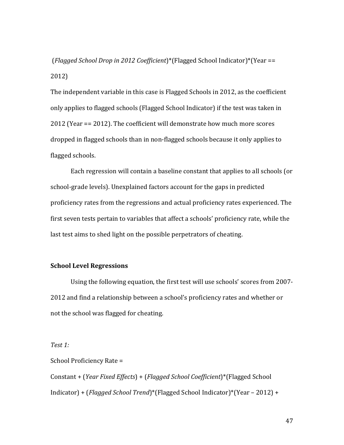(*Flagged School Drop in 2012 Coefficient*)\*(Flagged School Indicator)\*(Year == 2012) 

The independent variable in this case is Flagged Schools in 2012, as the coefficient only applies to flagged schools (Flagged School Indicator) if the test was taken in  $2012$  (Year ==  $2012$ ). The coefficient will demonstrate how much more scores dropped in flagged schools than in non-flagged schools because it only applies to flagged schools.

Each regression will contain a baseline constant that applies to all schools (or school-grade levels). Unexplained factors account for the gaps in predicted proficiency rates from the regressions and actual proficiency rates experienced. The first seven tests pertain to variables that affect a schools' proficiency rate, while the last test aims to shed light on the possible perpetrators of cheating.

## **School Level Regressions**

Using the following equation, the first test will use schools' scores from 2007-2012 and find a relationship between a school's proficiency rates and whether or not the school was flagged for cheating.

*Test 1:*

School Proficiency Rate = Constant + (*Year Fixed Effects*) + (*Flagged School Coefficient*)\*(Flagged School Indicator) + (*Flagged School Trend*)\*(*Flagged School Indicator*)\*(Year – 2012) +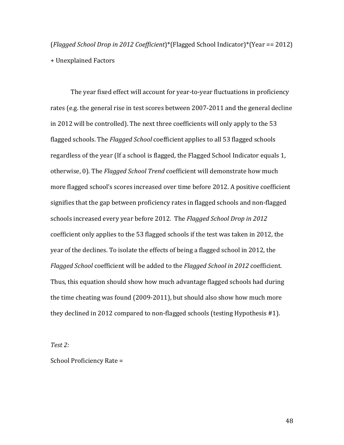(*Flagged School Drop in 2012 Coefficient*)\*(Flagged School Indicator)\*(Year == 2012) + Unexplained Factors 

The year fixed effect will account for year-to-year fluctuations in proficiency rates (e.g. the general rise in test scores between 2007-2011 and the general decline in 2012 will be controlled). The next three coefficients will only apply to the  $53$ flagged schools. The *Flagged School* coefficient applies to all 53 flagged schools regardless of the year (If a school is flagged, the Flagged School Indicator equals 1, otherwise, 0). The *Flagged School Trend* coefficient will demonstrate how much more flagged school's scores increased over time before 2012. A positive coefficient signifies that the gap between proficiency rates in flagged schools and non-flagged schools increased every year before 2012. The *Flagged School Drop* in 2012 coefficient only applies to the 53 flagged schools if the test was taken in 2012, the year of the declines. To isolate the effects of being a flagged school in 2012, the *Flagged School* coefficient will be added to the *Flagged School in* 2012 coefficient. Thus, this equation should show how much advantage flagged schools had during the time cheating was found (2009-2011), but should also show how much more they declined in 2012 compared to non-flagged schools (testing Hypothesis  $#1$ ).

*Test 2:*

School Proficiency Rate =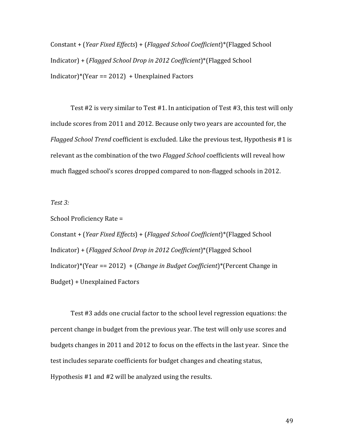Constant + (*Year Fixed Effects*) + (*Flagged School Coefficient*)\*(Flagged School Indicator) + (*Flagged School Drop in 2012 Coefficient*)\*(Flagged School Indicator)\*(Year ==  $2012$ ) + Unexplained Factors

Test  $#2$  is very similar to Test  $#1$ . In anticipation of Test  $#3$ , this test will only include scores from 2011 and 2012. Because only two years are accounted for, the *Flagged School Trend* coefficient is excluded. Like the previous test, Hypothesis #1 is relevant as the combination of the two *Flagged School* coefficients will reveal how much flagged school's scores dropped compared to non-flagged schools in 2012.

#### *Test 3:*

School Proficiency Rate =

Constant + (*Year Fixed Effects*) + (*Flagged School Coefficient*)\*(Flagged School Indicator) + (*Flagged School Drop in 2012 Coefficient*)\*(Flagged School Indicator)\*(Year == 2012) + (*Change* in *Budget Coefficient*)\*(Percent Change in Budget) + Unexplained Factors

Test #3 adds one crucial factor to the school level regression equations: the percent change in budget from the previous year. The test will only use scores and budgets changes in 2011 and 2012 to focus on the effects in the last year. Since the test includes separate coefficients for budget changes and cheating status, Hypothesis  $#1$  and  $#2$  will be analyzed using the results.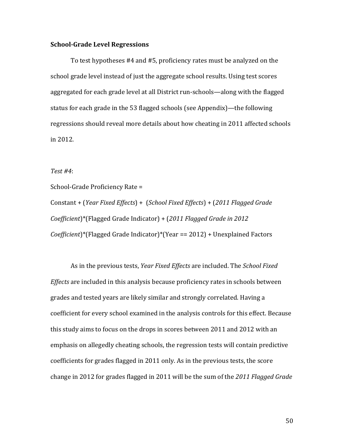#### **School‐Grade Level Regressions**

To test hypotheses #4 and #5, proficiency rates must be analyzed on the school grade level instead of just the aggregate school results. Using test scores aggregated for each grade level at all District run-schools—along with the flagged status for each grade in the 53 flagged schools (see Appendix)—the following regressions should reveal more details about how cheating in 2011 affected schools in 2012. 

#### *Test #4*:

School-Grade Proficiency Rate =

Constant + (*Year Fixed Effects*) + (*School Fixed Effects*) + (*2011 Flagged Grade Coefficient*)\*(Flagged Grade Indicator) + (*2011 Flagged Grade in 2012 Coefficient*)\*(Flagged Grade Indicator)\*(Year == 2012) + Unexplained Factors

As in the previous tests, *Year Fixed Effects* are included. The *School Fixed Effects* are included in this analysis because proficiency rates in schools between grades and tested years are likely similar and strongly correlated. Having a coefficient for every school examined in the analysis controls for this effect. Because this study aims to focus on the drops in scores between 2011 and 2012 with an emphasis on allegedly cheating schools, the regression tests will contain predictive coefficients for grades flagged in 2011 only. As in the previous tests, the score change in 2012 for grades flagged in 2011 will be the sum of the 2011 *Flagged Grade*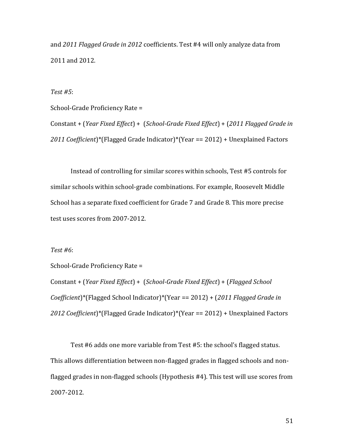and 2011 *Flagged Grade in 2012* coefficients. Test #4 will only analyze data from 2011 and 2012.

*Test #5*: 

School-Grade Proficiency Rate =

Constant + (*Year Fixed Effect*) + (*School‐Grade Fixed Effect*) + (*2011 Flagged Grade in 2011 Coefficient*)\*(Flagged Grade Indicator)\*(Year == 2012) + Unexplained Factors

Instead of controlling for similar scores within schools, Test #5 controls for similar schools within school-grade combinations. For example, Roosevelt Middle School has a separate fixed coefficient for Grade 7 and Grade 8. This more precise test uses scores from 2007-2012.

*Test #6*: 

School-Grade Proficiency Rate = Constant + (*Year Fixed Effect*) + (*School‐Grade Fixed Effect*) + (*Flagged School*

*Coefficient*)\*(Flagged School Indicator)\*(Year == 2012) + (*2011 Flagged Grade in 2012 Coefficient*)\*(Flagged Grade Indicator)\*(Year == 2012) + Unexplained Factors

Test #6 adds one more variable from Test #5: the school's flagged status. This allows differentiation between non-flagged grades in flagged schools and nonflagged grades in non-flagged schools (Hypothesis #4). This test will use scores from 2007‐2012.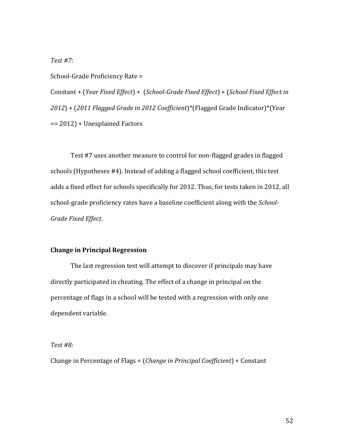*Test #7*: 

School-Grade Proficiency Rate =

Constant + (*Year Fixed Effect*) + (*School‐Grade Fixed Effect*) + (*School Fixed Effect in 2012*) + (*2011 Flagged Grade in 2012 Coefficient*)\*(Flagged Grade Indicator)\*(Year  $== 2012$  + Unexplained Factors

Test #7 uses another measure to control for non-flagged grades in flagged schools (Hypotheses #4). Instead of adding a flagged school coefficient, this test adds a fixed effect for schools specifically for 2012. Thus, for tests taken in 2012, all school-grade proficiency rates have a baseline coefficient along with the *School*-*Grade Fixed Effect*. 

### **Change in Principal Regression**

The last regression test will attempt to discover if principals may have directly participated in cheating. The effect of a change in principal on the percentage of flags in a school will be tested with a regression with only one dependent variable.

#### *Test #8:*

Change in Percentage of Flags = (*Change in Principal Coefficient*) + Constant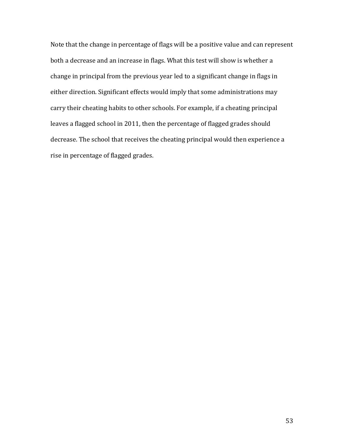Note that the change in percentage of flags will be a positive value and can represent both a decrease and an increase in flags. What this test will show is whether a change in principal from the previous year led to a significant change in flags in either direction. Significant effects would imply that some administrations may carry their cheating habits to other schools. For example, if a cheating principal leaves a flagged school in 2011, then the percentage of flagged grades should decrease. The school that receives the cheating principal would then experience a rise in percentage of flagged grades.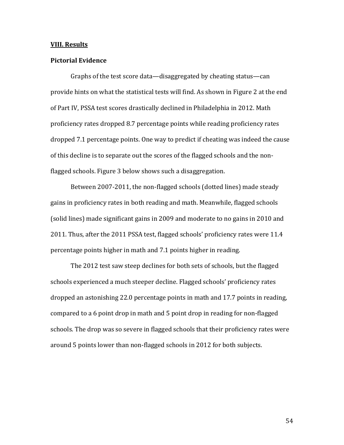#### **VIII. Results**

#### **Pictorial Evidence**

Graphs of the test score data—disaggregated by cheating status—can provide hints on what the statistical tests will find. As shown in Figure 2 at the end of Part IV, PSSA test scores drastically declined in Philadelphia in 2012. Math proficiency rates dropped 8.7 percentage points while reading proficiency rates dropped 7.1 percentage points. One way to predict if cheating was indeed the cause of this decline is to separate out the scores of the flagged schools and the nonflagged schools. Figure 3 below shows such a disaggregation.

Between 2007-2011, the non-flagged schools (dotted lines) made steady gains in proficiency rates in both reading and math. Meanwhile, flagged schools (solid lines) made significant gains in 2009 and moderate to no gains in 2010 and 2011. Thus, after the 2011 PSSA test, flagged schools' proficiency rates were 11.4 percentage points higher in math and 7.1 points higher in reading.

The 2012 test saw steep declines for both sets of schools, but the flagged schools experienced a much steeper decline. Flagged schools' proficiency rates dropped an astonishing 22.0 percentage points in math and 17.7 points in reading, compared to a 6 point drop in math and 5 point drop in reading for non-flagged schools. The drop was so severe in flagged schools that their proficiency rates were around 5 points lower than non-flagged schools in 2012 for both subjects.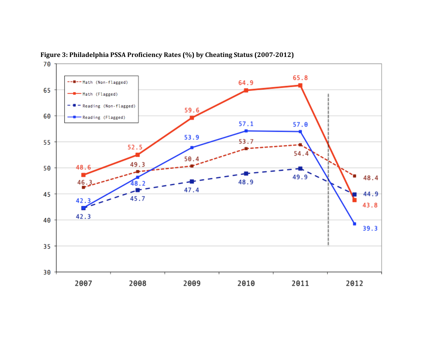

**Figure 3: Philadelphia PSSA Proficiency Rates (%) by Cheating Status (2007‐2012)**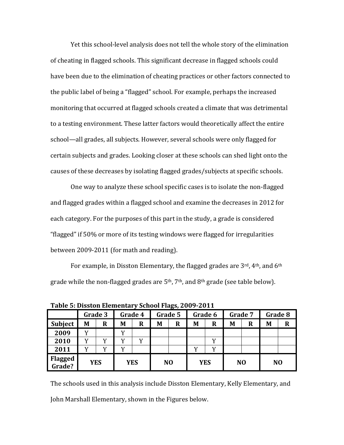Yet this school-level analysis does not tell the whole story of the elimination of cheating in flagged schools. This significant decrease in flagged schools could have been due to the elimination of cheating practices or other factors connected to the public label of being a "flagged" school. For example, perhaps the increased monitoring that occurred at flagged schools created a climate that was detrimental to a testing environment. These latter factors would theoretically affect the entire school—all grades, all subjects. However, several schools were only flagged for certain subjects and grades. Looking closer at these schools can shed light onto the causes of these decreases by isolating flagged grades/subjects at specific schools.

One way to analyze these school specific cases is to isolate the non-flagged and flagged grades within a flagged school and examine the decreases in 2012 for each category. For the purposes of this part in the study, a grade is considered "flagged" if 50% or more of its testing windows were flagged for irregularities between 2009-2011 (for math and reading).

For example, in Disston Elementary, the flagged grades are  $3^{\text{rd}}$ , 4<sup>th</sup>, and 6<sup>th</sup> grade while the non-flagged grades are  $5<sup>th</sup>$ , 7<sup>th</sup>, and  $8<sup>th</sup>$  grade (see table below).

|                          |         |            |         |            | Table 5. Dission Elementary School Flags, 2007 2011 |                |         |            |         |                |         |                |  |  |  |  |  |
|--------------------------|---------|------------|---------|------------|-----------------------------------------------------|----------------|---------|------------|---------|----------------|---------|----------------|--|--|--|--|--|
|                          | Grade 3 |            | Grade 4 |            | Grade 5                                             |                | Grade 6 |            | Grade 7 |                | Grade 8 |                |  |  |  |  |  |
| Subject                  | M       | R          | M       | R          | M                                                   | R              | M       | $\bf R$    | M       | R              | M       | $\bf R$        |  |  |  |  |  |
| 2009                     |         |            |         |            |                                                     |                |         |            |         |                |         |                |  |  |  |  |  |
| 2010                     |         |            |         | v          |                                                     |                |         |            |         |                |         |                |  |  |  |  |  |
| 2011                     |         |            |         |            |                                                     |                |         |            |         |                |         |                |  |  |  |  |  |
| <b>Flagged</b><br>Grade? |         | <b>YES</b> |         | <b>YES</b> |                                                     | N <sub>O</sub> |         | <b>YES</b> |         | N <sub>O</sub> |         | N <sub>O</sub> |  |  |  |  |  |

**Table 5: Disston Elementary School Flags, 2009‐2011**

The schools used in this analysis include Disston Elementary, Kelly Elementary, and John Marshall Elementary, shown in the Figures below.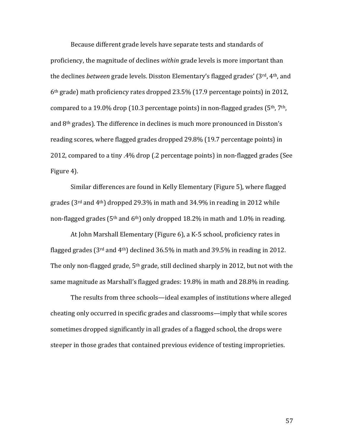Because different grade levels have separate tests and standards of proficiency, the magnitude of declines *within* grade levels is more important than the declines *between* grade levels. Disston Elementary's flagged grades' (3<sup>rd</sup>, 4<sup>th</sup>, and  $6<sup>th</sup>$  grade) math proficiency rates dropped 23.5% (17.9 percentage points) in 2012, compared to a 19.0% drop (10.3 percentage points) in non-flagged grades ( $5<sup>th</sup>$ ,  $7<sup>th</sup>$ , and  $8<sup>th</sup>$  grades). The difference in declines is much more pronounced in Disston's reading scores, where flagged grades dropped 29.8% (19.7 percentage points) in 2012, compared to a tiny .4% drop  $(0.2)$  percentage points) in non-flagged grades (See Figure 4).

Similar differences are found in Kelly Elementary (Figure 5), where flagged grades ( $3<sup>rd</sup>$  and  $4<sup>th</sup>$ ) dropped 29.3% in math and 34.9% in reading in 2012 while non-flagged grades ( $5<sup>th</sup>$  and  $6<sup>th</sup>$ ) only dropped 18.2% in math and 1.0% in reading.

At John Marshall Elementary (Figure 6), a K-5 school, proficiency rates in flagged grades  $(3^{rd}$  and  $4^{th}$ ) declined  $36.5\%$  in math and  $39.5\%$  in reading in 2012. The only non-flagged grade,  $5<sup>th</sup>$  grade, still declined sharply in 2012, but not with the same magnitude as Marshall's flagged grades:  $19.8\%$  in math and  $28.8\%$  in reading.

The results from three schools—ideal examples of institutions where alleged cheating only occurred in specific grades and classrooms—imply that while scores sometimes dropped significantly in all grades of a flagged school, the drops were steeper in those grades that contained previous evidence of testing improprieties.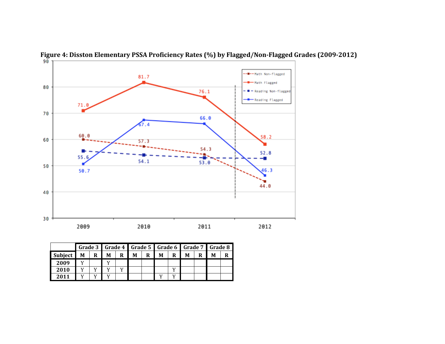



|         |   |                 | Grade 3   Grade 4   Grade 5   Grade 6   Grade 7   Grade 8 |   |   |   |   |   |   |  |  |
|---------|---|-----------------|-----------------------------------------------------------|---|---|---|---|---|---|--|--|
| Subject | М | $R_{\parallel}$ | M                                                         | R | М | R | M | R | M |  |  |
| 2009    |   |                 |                                                           |   |   |   |   |   |   |  |  |
| 2010    |   |                 |                                                           |   |   |   |   |   |   |  |  |
| 2011    |   |                 |                                                           |   |   |   |   |   |   |  |  |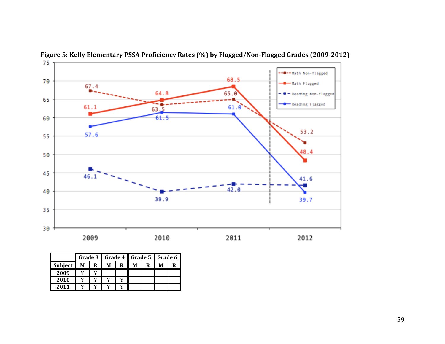

**Figure 5: Kelly Elementary PSSA Proficiency Rates (%) by Flagged/Non‐Flagged Grades (2009‐2012)**

|         |   |   |   |   |   |   | Grade 3   Grade 4   Grade 5   Grade 6 |  |  |
|---------|---|---|---|---|---|---|---------------------------------------|--|--|
| Subject | M | R | M | R | М | R | M                                     |  |  |
| 2009    |   |   |   |   |   |   |                                       |  |  |
| 2010    |   |   |   |   |   |   |                                       |  |  |
| 2011    |   |   |   |   |   |   |                                       |  |  |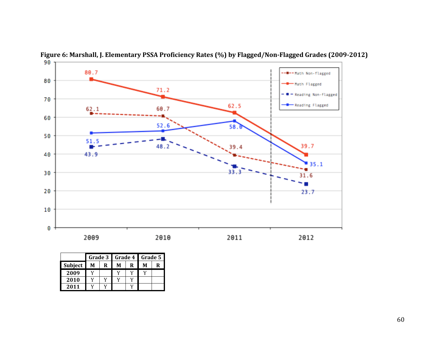



|         | Grade 3 |    |   |   | Grade 4   Grade 5 |   |  |
|---------|---------|----|---|---|-------------------|---|--|
| Subject | М       | R  | М | R | M                 | R |  |
| 2009    |         |    |   |   |                   |   |  |
| 2010    |         | 17 |   |   |                   |   |  |
| 2011    |         |    |   |   |                   |   |  |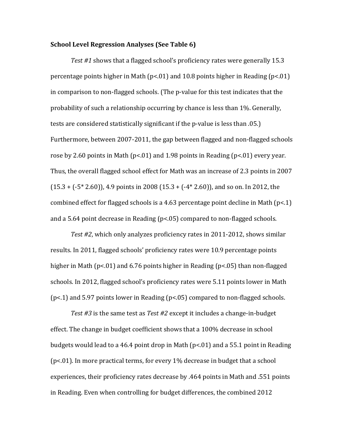#### **School Level Regression Analyses (See Table 6)**

*Test* #1 shows that a flagged school's proficiency rates were generally 15.3 percentage points higher in Math  $(p<0.01)$  and 10.8 points higher in Reading  $(p<0.01)$ in comparison to non-flagged schools. (The p-value for this test indicates that the probability of such a relationship occurring by chance is less than 1%. Generally, tests are considered statistically significant if the p-value is less than .05.) Furthermore, between 2007-2011, the gap between flagged and non-flagged schools rose by 2.60 points in Math  $(p<01)$  and 1.98 points in Reading  $(p<01)$  every year. Thus, the overall flagged school effect for Math was an increase of 2.3 points in 2007  $(15.3 + (-5 * 2.60))$ , 4.9 points in 2008  $(15.3 + (-4 * 2.60))$ , and so on. In 2012, the combined effect for flagged schools is a 4.63 percentage point decline in Math  $(p<.1)$ and a 5.64 point decrease in Reading  $(p<0.05)$  compared to non-flagged schools.

*Test* #2, which only analyzes proficiency rates in 2011-2012, shows similar results. In 2011, flagged schools' proficiency rates were 10.9 percentage points higher in Math ( $p$ <.01) and 6.76 points higher in Reading ( $p$ <.05) than non-flagged schools. In 2012, flagged school's proficiency rates were 5.11 points lower in Math  $(p<.1)$  and 5.97 points lower in Reading  $(p<.05)$  compared to non-flagged schools.

*Test* #3 is the same test as *Test* #2 except it includes a change-in-budget effect. The change in budget coefficient shows that a 100% decrease in school budgets would lead to a 46.4 point drop in Math  $(p<0.01)$  and a 55.1 point in Reading ( $p$ <.01). In more practical terms, for every  $1\%$  decrease in budget that a school experiences, their proficiency rates decrease by .464 points in Math and .551 points in Reading. Even when controlling for budget differences, the combined 2012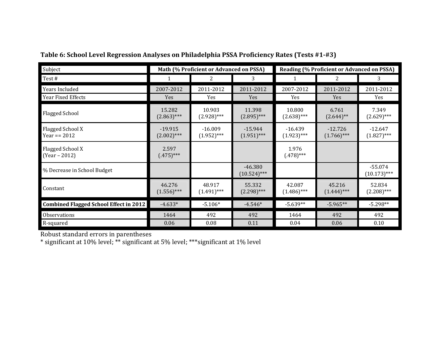| Subject                                       |                            | Math (% Proficient or Advanced on PSSA) |                             |                            | Reading (% Proficient or Advanced on PSSA) |                             |
|-----------------------------------------------|----------------------------|-----------------------------------------|-----------------------------|----------------------------|--------------------------------------------|-----------------------------|
| Test#                                         |                            | 2                                       | 3                           |                            | 2                                          | 3                           |
| Years Included                                | 2007-2012                  | 2011-2012                               | 2011-2012                   | 2007-2012                  | 2011-2012                                  | 2011-2012                   |
| Year Fixed Effects                            | Yes                        | Yes                                     | Yes                         | Yes                        | <b>Yes</b>                                 | Yes                         |
| <b>Flagged School</b>                         | 15.282<br>$(2.863)$ ***    | 10.903<br>$(2.928)$ ***                 | 11.398<br>$(2.895)$ ***     | 10.800<br>$(2.638)$ ***    | 6.761<br>$(2.644)$ **                      | 7.349<br>$(2.629)$ ***      |
| Flagged School X<br>Year == 2012              | $-19.915$<br>$(2.002)$ *** | $-16.009$<br>$(1.952)$ ***              | $-15.944$<br>$(1.951)$ ***  | $-16.439$<br>$(1.923)$ *** | $-12.726$<br>$(1.766)$ ***                 | $-12.647$<br>$(1.827)$ ***  |
| Flagged School X<br>$(Year - 2012)$           | 2.597<br>$(.475)$ ***      |                                         |                             | 1.976<br>$(.478)$ ***      |                                            |                             |
| % Decrease in School Budget                   |                            |                                         | $-46.380$<br>$(10.524)$ *** |                            |                                            | $-55.074$<br>$(10.173)$ *** |
| Constant                                      | 46.276<br>$(1.556)$ ***    | 48.917<br>$(1.491)$ ***                 | 55.332<br>$(2.298)$ ***     | 42.087<br>$(1.486)$ ***    | 45.216<br>$(1.444)$ ***                    | 52.834<br>$(2.208)$ ***     |
| <b>Combined Flagged School Effect in 2012</b> | $-4.633*$                  | $-5.106*$                               | $-4.546*$                   | $-5.639**$                 | $-5.965**$                                 | $-5.298**$                  |
| Observations                                  | 1464                       | 492                                     | 492                         | 1464                       | 492                                        | 492                         |
| R-squared                                     | 0.06                       | 0.08                                    | 0.11                        | 0.04                       | 0.06                                       | 0.10                        |

## **Table 6: School Level Regression Analyses on Philadelphia PSSA Proficiency Rates (Tests #1‐#3)**

Robust standard errors in parentheses

\* significant at 10% level; \*\* significant at 5% level; \*\*\* significant at 1% level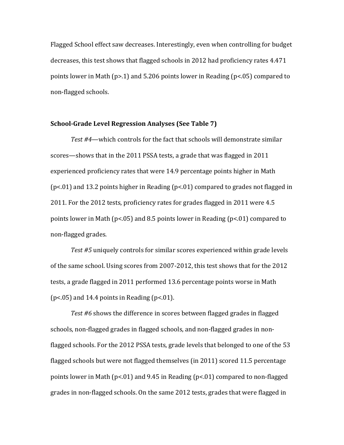Flagged School effect saw decreases. Interestingly, even when controlling for budget decreases, this test shows that flagged schools in 2012 had proficiency rates 4.471 points lower in Math (p>.1) and 5.206 points lower in Reading (p<.05) compared to non-flagged schools.

#### **School‐Grade Level Regression Analyses (See Table 7)**

Test #4—which controls for the fact that schools will demonstrate similar scores—shows that in the 2011 PSSA tests, a grade that was flagged in 2011 experienced proficiency rates that were 14.9 percentage points higher in Math  $(p<.01)$  and 13.2 points higher in Reading  $(p<.01)$  compared to grades not flagged in 2011. For the 2012 tests, proficiency rates for grades flagged in 2011 were 4.5 points lower in Math ( $p$ <.05) and 8.5 points lower in Reading ( $p$ <.01) compared to non‐flagged grades. 

*Test* #5 uniquely controls for similar scores experienced within grade levels of the same school. Using scores from 2007-2012, this test shows that for the 2012 tests, a grade flagged in 2011 performed 13.6 percentage points worse in Math  $(p<.05)$  and 14.4 points in Reading  $(p<.01)$ .

*Test* #6 shows the difference in scores between flagged grades in flagged schools, non-flagged grades in flagged schools, and non-flagged grades in nonflagged schools. For the 2012 PSSA tests, grade levels that belonged to one of the 53 flagged schools but were not flagged themselves (in 2011) scored 11.5 percentage points lower in Math ( $p$ <.01) and 9.45 in Reading ( $p$ <.01) compared to non-flagged grades in non-flagged schools. On the same  $2012$  tests, grades that were flagged in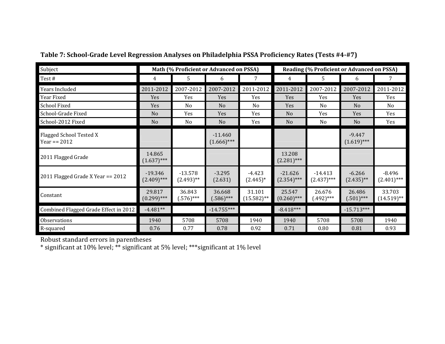| Subject                                   |                            | Math (% Proficient or Advanced on PSSA) |                            |                         |                            |                            | Reading (% Proficient or Advanced on PSSA) |                           |
|-------------------------------------------|----------------------------|-----------------------------------------|----------------------------|-------------------------|----------------------------|----------------------------|--------------------------------------------|---------------------------|
| Test#                                     | 4                          | 5                                       | 6                          | 7                       | 4                          | 5.                         | 6                                          | 7                         |
| Years Included                            | 2011-2012                  | 2007-2012                               | 2007-2012                  | 2011-2012               | 2011-2012                  | 2007-2012                  | 2007-2012                                  | 2011-2012                 |
| Year Fixed                                | Yes                        | Yes                                     | Yes                        | Yes                     | Yes                        | Yes                        | Yes                                        | Yes                       |
| <b>School Fixed</b>                       | Yes                        | N <sub>0</sub>                          | N <sub>0</sub>             | N <sub>0</sub>          | Yes                        | N <sub>0</sub>             | N <sub>0</sub>                             | N <sub>0</sub>            |
| School-Grade Fixed                        | N <sub>o</sub>             | Yes                                     | Yes                        | Yes                     | N <sub>o</sub>             | Yes                        | Yes                                        | Yes                       |
| School-2012 Fixed                         | N <sub>o</sub>             | N <sub>0</sub>                          | N <sub>0</sub>             | Yes                     | N <sub>o</sub>             | No                         | N <sub>0</sub>                             | Yes                       |
| Flagged School Tested X<br>Year == $2012$ |                            |                                         | $-11.460$<br>$(1.666)$ *** |                         |                            |                            | $-9.447$<br>$(1.619)$ ***                  |                           |
| 2011 Flagged Grade                        | 14.865<br>$(1.637)$ ***    |                                         |                            |                         | 13.208<br>$(2.281)$ ***    |                            |                                            |                           |
| 2011 Flagged Grade X Year == 2012         | $-19.346$<br>$(2.409)$ *** | $-13.578$<br>$(2.493)$ **               | $-3.295$<br>(2.631)        | $-4.423$<br>$(2.445)^*$ | $-21.626$<br>$(2.354)$ *** | $-14.413$<br>$(2.437)$ *** | $-6.266$<br>$(2.435)$ **                   | $-8.496$<br>$(2.401)$ *** |
| Constant                                  | 29.817<br>$(0.299)$ ***    | 36.843<br>$(.576)$ ***                  | 36.668<br>$(.586)$ ***     | 31.101<br>$(15.582)$ ** | 25.547<br>$(0.260)$ ***    | 26.676<br>$(.492)***$      | 26.486<br>$(.501)$ ***                     | 33.703<br>$(14.519)$ **   |
| Combined Flagged Grade Effect in 2012     | $-4.481**$                 |                                         | $-14.755***$               |                         | $-8.418***$                |                            | $-15.713***$                               |                           |
| Observations                              | 1940                       | 5708                                    | 5708                       | 1940                    | 1940                       | 5708                       | 5708                                       | 1940                      |
| R-squared                                 | 0.76                       | 0.77                                    | 0.78                       | 0.92                    | 0.71                       | 0.80                       | 0.81                                       | 0.93                      |

## **Table 7: School‐Grade Level Regression Analyses on Philadelphia PSSA Proficiency Rates (Tests #4‐#7)**

Robust standard errors in parentheses

 $^*$  significant at 10% level;  $^{**}$  significant at 5% level;  $^{***}$ significant at 1% level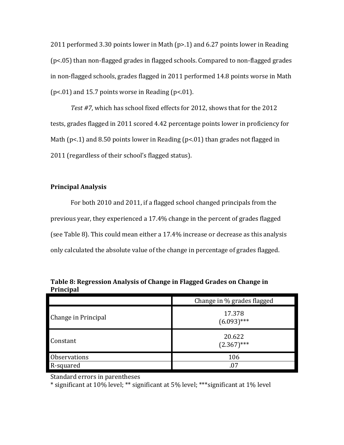2011 performed 3.30 points lower in Math  $(p>0.1)$  and 6.27 points lower in Reading  $(p<.05)$  than non-flagged grades in flagged schools. Compared to non-flagged grades in non-flagged schools, grades flagged in 2011 performed 14.8 points worse in Math ( $p$ <.01) and 15.7 points worse in Reading ( $p$ <.01).

Test #7, which has school fixed effects for 2012, shows that for the 2012 tests, grades flagged in 2011 scored 4.42 percentage points lower in proficiency for Math ( $p$ <.1) and 8.50 points lower in Reading ( $p$ <.01) than grades not flagged in 2011 (regardless of their school's flagged status).

## **Principal Analysis**

For both 2010 and 2011, if a flagged school changed principals from the previous year, they experienced a 17.4% change in the percent of grades flagged (see Table 8). This could mean either a 17.4% increase or decrease as this analysis only calculated the absolute value of the change in percentage of grades flagged.

|                     | Change in % grades flagged |
|---------------------|----------------------------|
| Change in Principal | 17.378<br>$(6.093)$ ***    |
| Constant            | 20.622<br>$(2.367)$ ***    |
| Observations        | 106                        |
| R-squared           | .07                        |

**Table 8: Regression Analysis of Change in Flagged Grades on Change in Principal**

Standard errors in parentheses

\* significant at 10% level; \*\* significant at 5% level; \*\*\* significant at 1% level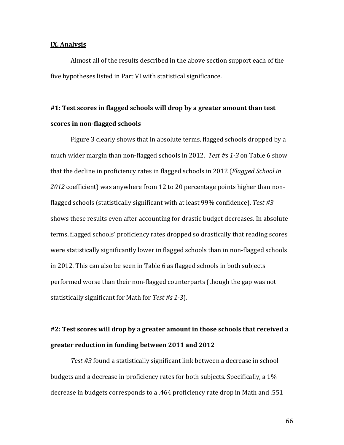#### **IX. Analysis**

Almost all of the results described in the above section support each of the five hypotheses listed in Part VI with statistical significance.

# **#1: Test scores in flagged schools will drop by a greater amount than test scores in non‐flagged schools**

Figure 3 clearly shows that in absolute terms, flagged schools dropped by a much wider margin than non-flagged schools in 2012. Test #s 1-3 on Table 6 show that the decline in proficiency rates in flagged schools in 2012 (*Flagged School in 2012* coefficient) was anywhere from 12 to 20 percentage points higher than nonflagged schools (statistically significant with at least 99% confidence). Test #3 shows these results even after accounting for drastic budget decreases. In absolute terms, flagged schools' proficiency rates dropped so drastically that reading scores were statistically significantly lower in flagged schools than in non-flagged schools in 2012. This can also be seen in Table 6 as flagged schools in both subjects performed worse than their non-flagged counterparts (though the gap was not statistically significant for Math for *Test #s 1‐3*). 

## **#2: Test scores will drop by a greater amount in those schools that received a greater reduction in funding between 2011 and 2012**

Test #3 found a statistically significant link between a decrease in school budgets and a decrease in proficiency rates for both subjects. Specifically, a 1% decrease in budgets corresponds to a .464 proficiency rate drop in Math and .551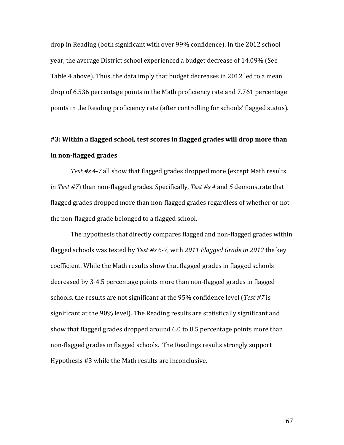drop in Reading (both significant with over 99% confidence). In the 2012 school year, the average District school experienced a budget decrease of 14.09% (See Table 4 above). Thus, the data imply that budget decreases in 2012 led to a mean drop of 6.536 percentage points in the Math proficiency rate and 7.761 percentage points in the Reading proficiency rate (after controlling for schools' flagged status).

# **#3: Within a flagged school, test scores in flagged grades will drop more than in non‐flagged grades**

*Test* #s 4-7 all show that flagged grades dropped more (except Math results in *Test* #7) than non-flagged grades. Specifically, *Test* #s 4 and 5 demonstrate that flagged grades dropped more than non-flagged grades regardless of whether or not the non-flagged grade belonged to a flagged school.

The hypothesis that directly compares flagged and non-flagged grades within flagged schools was tested by Test #s 6-7, with 2011 Flagged Grade in 2012 the key coefficient. While the Math results show that flagged grades in flagged schools decreased by 3-4.5 percentage points more than non-flagged grades in flagged schools, the results are not significant at the 95% confidence level (*Test #7* is significant at the 90% level). The Reading results are statistically significant and show that flagged grades dropped around 6.0 to 8.5 percentage points more than non-flagged grades in flagged schools. The Readings results strongly support Hypothesis #3 while the Math results are inconclusive.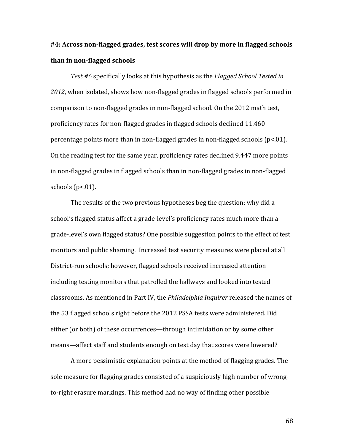# **#4: Across non‐flagged grades, test scores will drop by more in flagged schools than in non‐flagged schools**

*Test* #6 specifically looks at this hypothesis as the *Flagged School Tested* in 2012, when isolated, shows how non-flagged grades in flagged schools performed in comparison to non-flagged grades in non-flagged school. On the 2012 math test, proficiency rates for non-flagged grades in flagged schools declined 11.460 percentage points more than in non-flagged grades in non-flagged schools  $(p<0.1)$ . On the reading test for the same year, proficiency rates declined 9.447 more points in non-flagged grades in flagged schools than in non-flagged grades in non-flagged schools  $(p<.01)$ .

The results of the two previous hypotheses beg the question: why did a school's flagged status affect a grade-level's proficiency rates much more than a grade-level's own flagged status? One possible suggestion points to the effect of test monitors and public shaming. Increased test security measures were placed at all District-run schools; however, flagged schools received increased attention including testing monitors that patrolled the hallways and looked into tested classrooms. As mentioned in Part IV, the *Philadelphia Inquirer* released the names of the 53 flagged schools right before the 2012 PSSA tests were administered. Did either (or both) of these occurrences—through intimidation or by some other means—affect staff and students enough on test day that scores were lowered?

A more pessimistic explanation points at the method of flagging grades. The sole measure for flagging grades consisted of a suspiciously high number of wrongto-right erasure markings. This method had no way of finding other possible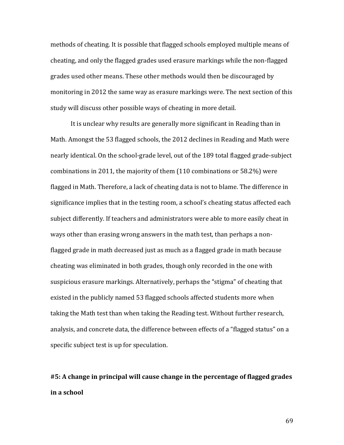methods of cheating. It is possible that flagged schools employed multiple means of cheating, and only the flagged grades used erasure markings while the non-flagged grades used other means. These other methods would then be discouraged by monitoring in 2012 the same way as erasure markings were. The next section of this study will discuss other possible ways of cheating in more detail.

It is unclear why results are generally more significant in Reading than in Math. Amongst the 53 flagged schools, the 2012 declines in Reading and Math were nearly identical. On the school-grade level, out of the 189 total flagged grade-subject combinations in 2011, the majority of them  $(110$  combinations or 58.2%) were flagged in Math. Therefore, a lack of cheating data is not to blame. The difference in significance implies that in the testing room, a school's cheating status affected each subject differently. If teachers and administrators were able to more easily cheat in ways other than erasing wrong answers in the math test, than perhaps a nonflagged grade in math decreased just as much as a flagged grade in math because cheating was eliminated in both grades, though only recorded in the one with suspicious erasure markings. Alternatively, perhaps the "stigma" of cheating that existed in the publicly named 53 flagged schools affected students more when taking the Math test than when taking the Reading test. Without further research, analysis, and concrete data, the difference between effects of a "flagged status" on a specific subject test is up for speculation.

# **#5: A change in principal will cause change in the percentage of flagged grades in a school**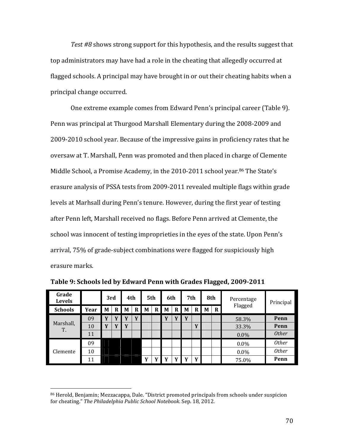*Test* #8 shows strong support for this hypothesis, and the results suggest that top administrators may have had a role in the cheating that allegedly occurred at flagged schools. A principal may have brought in or out their cheating habits when a principal change occurred.

One extreme example comes from Edward Penn's principal career (Table 9). Penn was principal at Thurgood Marshall Elementary during the 2008-2009 and 2009-2010 school year. Because of the impressive gains in proficiency rates that he oversaw at T. Marshall, Penn was promoted and then placed in charge of Clemente Middle School, a Promise Academy, in the 2010-2011 school year.<sup>86</sup> The State's erasure analysis of PSSA tests from 2009-2011 revealed multiple flags within grade levels at Marhsall during Penn's tenure. However, during the first year of testing after Penn left, Marshall received no flags. Before Penn arrived at Clemente, the school was innocent of testing improprieties in the eyes of the state. Upon Penn's arrival, 75% of grade-subject combinations were flagged for suspiciously high erasure marks.

| Grade<br><b>Levels</b> |      | 3rd |                         | 4th      |   | 5th |   | 6th |              | 7th |   | 8th |          | Percentage | Principal    |
|------------------------|------|-----|-------------------------|----------|---|-----|---|-----|--------------|-----|---|-----|----------|------------|--------------|
| <b>Schools</b>         | Year | M   | R                       | M        | R | M   | R | M   | R            | M   | R | M   | $\bf{R}$ | Flagged    |              |
|                        | 09   | E 7 |                         | <b>X</b> | v |     |   | V   |              | Y   |   |     |          | 58.3%      | Penn         |
| Marshall,<br>Т.        | 10   | TT. | $\overline{\mathbf{v}}$ | Y        |   |     |   |     |              |     | Y |     |          | 33.3%      | Penn         |
|                        | 11   |     |                         |          |   |     |   |     |              |     |   |     |          | $0.0\%$    | <i>Other</i> |
|                        | 09   |     |                         |          |   |     |   |     |              |     |   |     |          | $0.0\%$    | <b>Other</b> |
| Clemente               | 10   |     |                         |          |   |     |   |     |              |     |   |     |          | $0.0\%$    | <b>Other</b> |
|                        | 11   |     |                         |          |   | Y   |   | v   | $\mathbf{v}$ | v   | Y |     |          | 75.0%      | Penn         |

**Table 9: Schools led by Edward Penn with Grades Flagged, 2009‐2011**

<sup>&</sup>lt;sup>86</sup> Herold, Benjamin; Mezzacappa, Dale. "District promoted principals from schools under suspicion for cheating." The Philadelphia Public School Notebook. Sep. 18, 2012.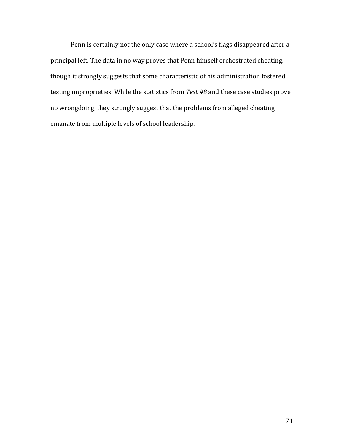Penn is certainly not the only case where a school's flags disappeared after a principal left. The data in no way proves that Penn himself orchestrated cheating, though it strongly suggests that some characteristic of his administration fostered testing improprieties. While the statistics from Test #8 and these case studies prove no wrongdoing, they strongly suggest that the problems from alleged cheating emanate from multiple levels of school leadership.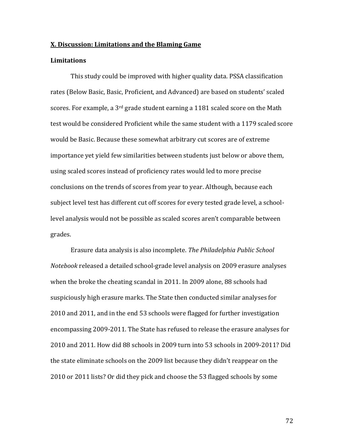#### **X. Discussion: Limitations and the Blaming Game**

### **Limitations**

This study could be improved with higher quality data. PSSA classification rates (Below Basic, Basic, Proficient, and Advanced) are based on students' scaled scores. For example, a  $3<sup>rd</sup>$  grade student earning a 1181 scaled score on the Math test would be considered Proficient while the same student with a 1179 scaled score would be Basic. Because these somewhat arbitrary cut scores are of extreme importance vet vield few similarities between students just below or above them, using scaled scores instead of proficiency rates would led to more precise conclusions on the trends of scores from year to year. Although, because each subject level test has different cut off scores for every tested grade level, a schoollevel analysis would not be possible as scaled scores aren't comparable between grades. 

 Erasure data analysis is also incomplete. *The Philadelphia Public School Notebook* released a detailed school-grade level analysis on 2009 erasure analyses when the broke the cheating scandal in 2011. In 2009 alone, 88 schools had suspiciously high erasure marks. The State then conducted similar analyses for 2010 and 2011, and in the end 53 schools were flagged for further investigation encompassing 2009-2011. The State has refused to release the erasure analyses for 2010 and 2011. How did 88 schools in 2009 turn into 53 schools in 2009-2011? Did the state eliminate schools on the 2009 list because they didn't reappear on the 2010 or 2011 lists? Or did they pick and choose the 53 flagged schools by some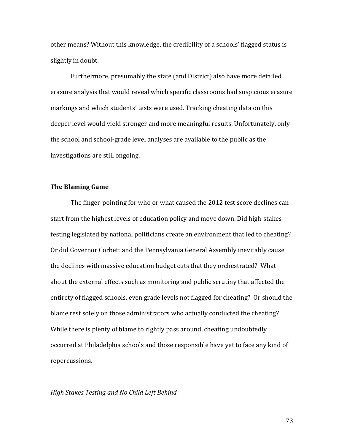other means? Without this knowledge, the credibility of a schools' flagged status is slightly in doubt.

Furthermore, presumably the state (and District) also have more detailed erasure analysis that would reveal which specific classrooms had suspicious erasure markings and which students' tests were used. Tracking cheating data on this deeper level would yield stronger and more meaningful results. Unfortunately, only the school and school-grade level analyses are available to the public as the investigations are still ongoing.

## **The Blaming Game**

The finger-pointing for who or what caused the 2012 test score declines can start from the highest levels of education policy and move down. Did high-stakes testing legislated by national politicians create an environment that led to cheating? Or did Governor Corbett and the Pennsylvania General Assembly inevitably cause the declines with massive education budget cuts that they orchestrated? What about the external effects such as monitoring and public scrutiny that affected the entirety of flagged schools, even grade levels not flagged for cheating? Or should the blame rest solely on those administrators who actually conducted the cheating? While there is plenty of blame to rightly pass around, cheating undoubtedly occurred at Philadelphia schools and those responsible have yet to face any kind of repercussions. 

## *High Stakes Testing and No Child Left Behind*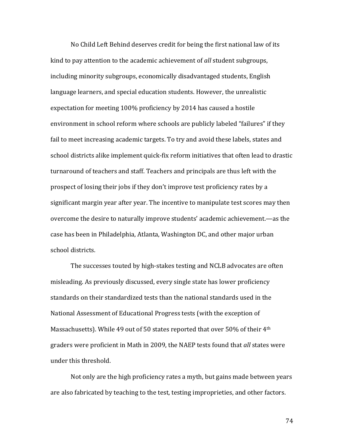No Child Left Behind deserves credit for being the first national law of its kind to pay attention to the academic achievement of *all* student subgroups, including minority subgroups, economically disadvantaged students, English language learners, and special education students. However, the unrealistic expectation for meeting 100% proficiency by 2014 has caused a hostile environment in school reform where schools are publicly labeled "failures" if they fail to meet increasing academic targets. To try and avoid these labels, states and school districts alike implement quick-fix reform initiatives that often lead to drastic turnaround of teachers and staff. Teachers and principals are thus left with the prospect of losing their jobs if they don't improve test proficiency rates by a significant margin year after year. The incentive to manipulate test scores may then overcome the desire to naturally improve students' academic achievement.—as the case has been in Philadelphia, Atlanta, Washington DC, and other major urban school districts.

The successes touted by high-stakes testing and NCLB advocates are often misleading. As previously discussed, every single state has lower proficiency standards on their standardized tests than the national standards used in the National Assessment of Educational Progress tests (with the exception of Massachusetts). While 49 out of 50 states reported that over 50% of their 4<sup>th</sup> graders were proficient in Math in 2009, the NAEP tests found that *all* states were under this threshold.

Not only are the high proficiency rates a myth, but gains made between years are also fabricated by teaching to the test, testing improprieties, and other factors.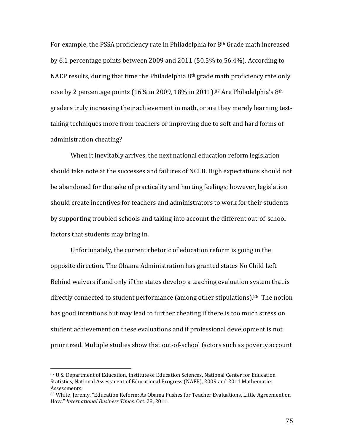For example, the PSSA proficiency rate in Philadelphia for  $8<sup>th</sup>$  Grade math increased by 6.1 percentage points between 2009 and  $2011$  (50.5% to 56.4%). According to NAEP results, during that time the Philadelphia  $8<sup>th</sup>$  grade math proficiency rate only rose by 2 percentage points  $(16\%$  in 2009, 18% in 2011).<sup>87</sup> Are Philadelphia's 8<sup>th</sup> graders truly increasing their achievement in math, or are they merely learning testtaking techniques more from teachers or improving due to soft and hard forms of administration cheating?

When it inevitably arrives, the next national education reform legislation should take note at the successes and failures of NCLB. High expectations should not be abandoned for the sake of practicality and hurting feelings; however, legislation should create incentives for teachers and administrators to work for their students by supporting troubled schools and taking into account the different out-of-school factors that students may bring in.

Unfortunately, the current rhetoric of education reform is going in the opposite direction. The Obama Administration has granted states No Child Left Behind waivers if and only if the states develop a teaching evaluation system that is directly connected to student performance (among other stipulations).<sup>88</sup> The notion has good intentions but may lead to further cheating if there is too much stress on student achievement on these evaluations and if professional development is not prioritized. Multiple studies show that out-of-school factors such as poverty account

<sup>87</sup> U.S. Department of Education, Institute of Education Sciences, National Center for Education Statistics, National Assessment of Educational Progress (NAEP), 2009 and 2011 Mathematics Assessments. 

<sup>88</sup> White, Jeremy. "Education Reform: As Obama Pushes for Teacher Evaluations, Little Agreement on How." *International Business Times*. Oct. 28, 2011.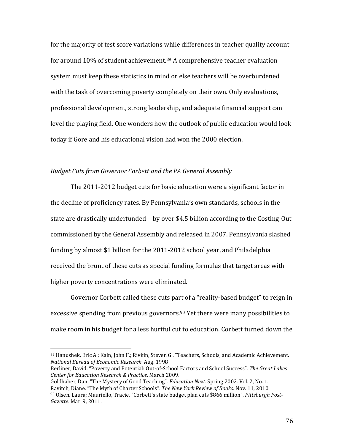for the majority of test score variations while differences in teacher quality account for around  $10\%$  of student achievement.<sup>89</sup> A comprehensive teacher evaluation system must keep these statistics in mind or else teachers will be overburdened with the task of overcoming poverty completely on their own. Only evaluations, professional development, strong leadership, and adequate financial support can level the playing field. One wonders how the outlook of public education would look today if Gore and his educational vision had won the 2000 election.

### *Budget Cuts from Governor Corbett and the PA General Assembly*

The  $2011$ -2012 budget cuts for basic education were a significant factor in the decline of proficiency rates. By Pennsylvania's own standards, schools in the state are drastically underfunded—by over \$4.5 billion according to the Costing-Out commissioned by the General Assembly and released in 2007. Pennsylvania slashed funding by almost \$1 billion for the 2011-2012 school year, and Philadelphia received the brunt of these cuts as special funding formulas that target areas with higher poverty concentrations were eliminated.

Governor Corbett called these cuts part of a "reality-based budget" to reign in excessive spending from previous governors.<sup>90</sup> Yet there were many possibilities to make room in his budget for a less hurtful cut to education. Corbett turned down the

<sup>89</sup> Hanushek, Eric A.; Kain, John F.; Rivkin, Steven G.. "Teachers, Schools, and Academic Achievement. *National Bureau of Economic Research*. Aug. 1998 

Berliner, David. "Poverty and Potential: Out-of-School Factors and School Success". The Great Lakes *Center for Education Research & Practice*. March 2009. 

Goldhaber, Dan. "The Mystery of Good Teaching". *Education Next*. Spring 2002. Vol. 2, No. 1. Ravitch, Diane. "The Myth of Charter Schools". *The New York Review of Books*. Nov. 11, 2010. 90 Olsen, Laura; Mauriello, Tracie. "Corbett's state budget plan cuts \$866 million". *Pittsburgh Post‐ Gazette*. Mar. 9, 2011.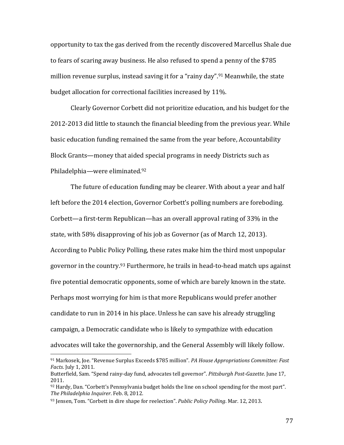opportunity to tax the gas derived from the recently discovered Marcellus Shale due to fears of scaring away business. He also refused to spend a penny of the \$785 million revenue surplus, instead saving it for a "rainy day".<sup>91</sup> Meanwhile, the state budget allocation for correctional facilities increased by 11%.

Clearly Governor Corbett did not prioritize education, and his budget for the 2012-2013 did little to staunch the financial bleeding from the previous year. While basic education funding remained the same from the year before, Accountability Block Grants—money that aided special programs in needy Districts such as Philadelphia—were eliminated.<sup>92</sup>

The future of education funding may be clearer. With about a year and half left before the 2014 election, Governor Corbett's polling numbers are foreboding. Corbett—a first-term Republican—has an overall approval rating of  $33\%$  in the state, with 58% disapproving of his job as Governor (as of March 12, 2013). According to Public Policy Polling, these rates make him the third most unpopular governor in the country.<sup>93</sup> Furthermore, he trails in head-to-head match ups against five potential democratic opponents, some of which are barely known in the state. Perhaps most worrying for him is that more Republicans would prefer another candidate to run in 2014 in his place. Unless he can save his already struggling campaign, a Democratic candidate who is likely to sympathize with education advocates will take the governorship, and the General Assembly will likely follow.

<sup>91</sup> Markosek, Joe. "Revenue Surplus Exceeds \$785 million". *PA House Appropriations Committee: Fast Facts*. July 1, 2011.

Butterfield, Sam. "Spend rainy‐day fund, advocates tell governor". *Pittsburgh Post‐Gazette*. June 17, 2011. 

 $92$  Hardy, Dan. "Corbett's Pennsylvania budget holds the line on school spending for the most part". *The Philadelphia Inquirer*. Feb. 8, 2012. 

<sup>93</sup> Jensen, Tom. "Corbett in dire shape for reelection". *Public Policy Polling*. Mar. 12, 2013.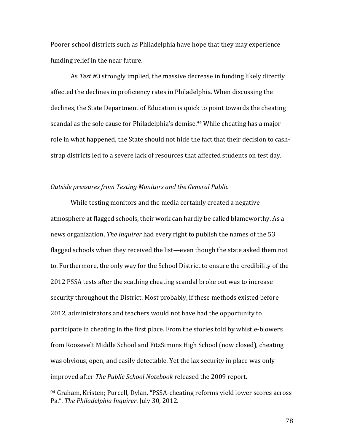Poorer school districts such as Philadelphia have hope that they may experience funding relief in the near future.

As Test #3 strongly implied, the massive decrease in funding likely directly affected the declines in proficiency rates in Philadelphia. When discussing the declines, the State Department of Education is quick to point towards the cheating scandal as the sole cause for Philadelphia's demise.<sup>94</sup> While cheating has a major role in what happened, the State should not hide the fact that their decision to cashstrap districts led to a severe lack of resources that affected students on test day.

#### *Outside pressures from Testing Monitors and the General Public*

While testing monitors and the media certainly created a negative atmosphere at flagged schools, their work can hardly be called blameworthy. As a news organization, *The Inquirer* had every right to publish the names of the 53 flagged schools when they received the list—even though the state asked them not to. Furthermore, the only way for the School District to ensure the credibility of the 2012 PSSA tests after the scathing cheating scandal broke out was to increase security throughout the District. Most probably, if these methods existed before 2012, administrators and teachers would not have had the opportunity to participate in cheating in the first place. From the stories told by whistle-blowers from Roosevelt Middle School and FitzSimons High School (now closed), cheating was obvious, open, and easily detectable. Yet the lax security in place was only improved after *The Public School Notebook* released the 2009 report.

 

<sup>94</sup> Graham, Kristen; Purcell, Dylan. "PSSA-cheating reforms yield lower scores across Pa.". The Philadelphia Inquirer. July 30, 2012.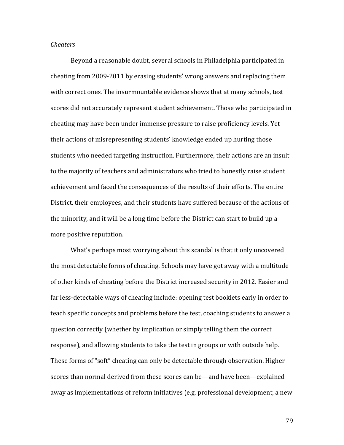#### *Cheaters*

Beyond a reasonable doubt, several schools in Philadelphia participated in cheating from 2009-2011 by erasing students' wrong answers and replacing them with correct ones. The insurmountable evidence shows that at many schools, test scores did not accurately represent student achievement. Those who participated in cheating may have been under immense pressure to raise proficiency levels. Yet their actions of misrepresenting students' knowledge ended up hurting those students who needed targeting instruction. Furthermore, their actions are an insult to the majority of teachers and administrators who tried to honestly raise student achievement and faced the consequences of the results of their efforts. The entire District, their employees, and their students have suffered because of the actions of the minority, and it will be a long time before the District can start to build up a more positive reputation.

What's perhaps most worrying about this scandal is that it only uncovered the most detectable forms of cheating. Schools may have got away with a multitude of other kinds of cheating before the District increased security in 2012. Easier and far less-detectable ways of cheating include: opening test booklets early in order to teach specific concepts and problems before the test, coaching students to answer a question correctly (whether by implication or simply telling them the correct response), and allowing students to take the test in groups or with outside help. These forms of "soft" cheating can only be detectable through observation. Higher scores than normal derived from these scores can be—and have been—explained away as implementations of reform initiatives (e.g. professional development, a new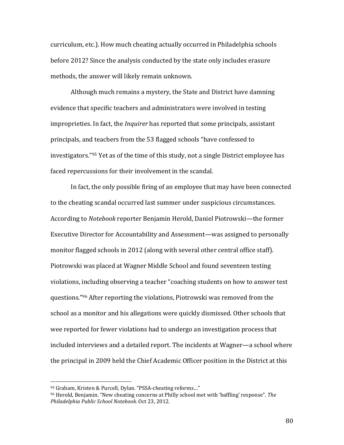curriculum, etc.). How much cheating actually occurred in Philadelphia schools before 2012? Since the analysis conducted by the state only includes erasure methods, the answer will likely remain unknown.

Although much remains a mystery, the State and District have damning evidence that specific teachers and administrators were involved in testing improprieties. In fact, the *Inquirer* has reported that some principals, assistant principals, and teachers from the 53 flagged schools "have confessed to investigators."<sup>95</sup> Yet as of the time of this study, not a single District employee has faced repercussions for their involvement in the scandal.

In fact, the only possible firing of an employee that may have been connected to the cheating scandal occurred last summer under suspicious circumstances. According to *Notebook* reporter Benjamin Herold, Daniel Piotrowski—the former Executive Director for Accountability and Assessment—was assigned to personally monitor flagged schools in 2012 (along with several other central office staff). Piotrowski was placed at Wagner Middle School and found seventeen testing violations, including observing a teacher "coaching students on how to answer test questions."<sup>96</sup> After reporting the violations, Piotrowski was removed from the school as a monitor and his allegations were quickly dismissed. Other schools that wee reported for fewer violations had to undergo an investigation process that included interviews and a detailed report. The incidents at Wagner—a school where the principal in 2009 held the Chief Academic Officer position in the District at this

 

<sup>95</sup> Graham, Kristen & Purcell, Dylan. "PSSA-cheating reforms..."

<sup>&</sup>lt;sup>96</sup> Herold, Benjamin. "New cheating concerns at Philly school met with 'baffling' response". The *Philadelphia Public School Notebook*. Oct 23, 2012.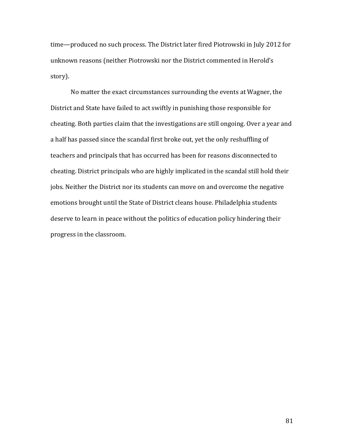time—produced no such process. The District later fired Piotrowski in July 2012 for unknown reasons (neither Piotrowski nor the District commented in Herold's story). 

No matter the exact circumstances surrounding the events at Wagner, the District and State have failed to act swiftly in punishing those responsible for cheating. Both parties claim that the investigations are still ongoing. Over a year and a half has passed since the scandal first broke out, yet the only reshuffling of teachers and principals that has occurred has been for reasons disconnected to cheating. District principals who are highly implicated in the scandal still hold their jobs. Neither the District nor its students can move on and overcome the negative emotions brought until the State of District cleans house. Philadelphia students deserve to learn in peace without the politics of education policy hindering their progress in the classroom.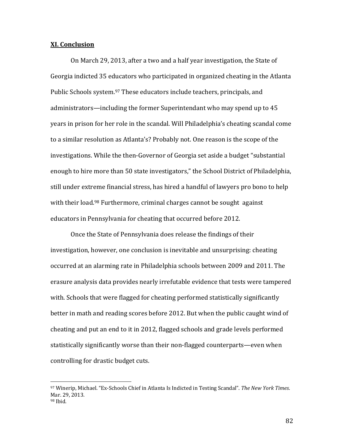#### **XI. Conclusion**

On March 29, 2013, after a two and a half year investigation, the State of Georgia indicted 35 educators who participated in organized cheating in the Atlanta Public Schools system.<sup>97</sup> These educators include teachers, principals, and administrators—including the former Superintendant who may spend up to 45 years in prison for her role in the scandal. Will Philadelphia's cheating scandal come to a similar resolution as Atlanta's? Probably not. One reason is the scope of the investigations. While the then-Governor of Georgia set aside a budget "substantial enough to hire more than 50 state investigators," the School District of Philadelphia, still under extreme financial stress, has hired a handful of lawyers pro bono to help with their load.<sup>98</sup> Furthermore, criminal charges cannot be sought against educators in Pennsylvania for cheating that occurred before 2012.

Once the State of Pennsylvania does release the findings of their investigation, however, one conclusion is inevitable and unsurprising: cheating occurred at an alarming rate in Philadelphia schools between 2009 and 2011. The erasure analysis data provides nearly irrefutable evidence that tests were tampered with. Schools that were flagged for cheating performed statistically significantly better in math and reading scores before 2012. But when the public caught wind of cheating and put an end to it in 2012, flagged schools and grade levels performed statistically significantly worse than their non-flagged counterparts—even when controlling for drastic budget cuts.

<sup>97</sup> Winerip, Michael. "Ex‐Schools Chief in Atlanta Is Indicted in Testing Scandal". *The New York Times*. Mar. 29, 2013.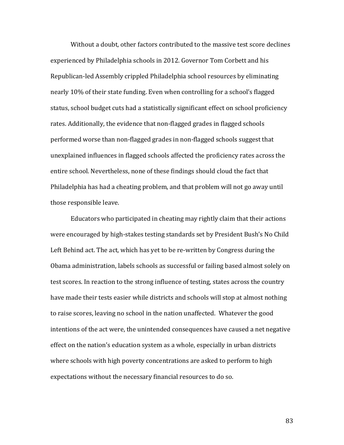Without a doubt, other factors contributed to the massive test score declines experienced by Philadelphia schools in 2012. Governor Tom Corbett and his Republican-led Assembly crippled Philadelphia school resources by eliminating nearly 10% of their state funding. Even when controlling for a school's flagged status, school budget cuts had a statistically significant effect on school proficiency rates. Additionally, the evidence that non-flagged grades in flagged schools performed worse than non-flagged grades in non-flagged schools suggest that unexplained influences in flagged schools affected the proficiency rates across the entire school. Nevertheless, none of these findings should cloud the fact that Philadelphia has had a cheating problem, and that problem will not go away until those responsible leave.

Educators who participated in cheating may rightly claim that their actions were encouraged by high-stakes testing standards set by President Bush's No Child Left Behind act. The act, which has yet to be re-written by Congress during the Obama administration, labels schools as successful or failing based almost solely on test scores. In reaction to the strong influence of testing, states across the country have made their tests easier while districts and schools will stop at almost nothing to raise scores, leaving no school in the nation unaffected. Whatever the good intentions of the act were, the unintended consequences have caused a net negative effect on the nation's education system as a whole, especially in urban districts where schools with high poverty concentrations are asked to perform to high expectations without the necessary financial resources to do so.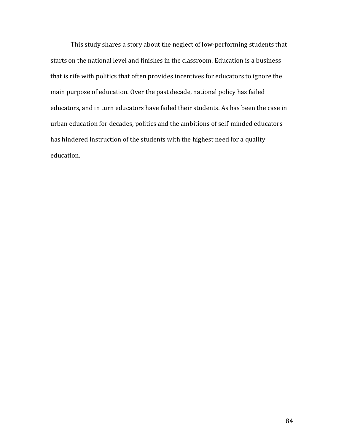This study shares a story about the neglect of low-performing students that starts on the national level and finishes in the classroom. Education is a business that is rife with politics that often provides incentives for educators to ignore the main purpose of education. Over the past decade, national policy has failed educators, and in turn educators have failed their students. As has been the case in urban education for decades, politics and the ambitions of self-minded educators has hindered instruction of the students with the highest need for a quality education.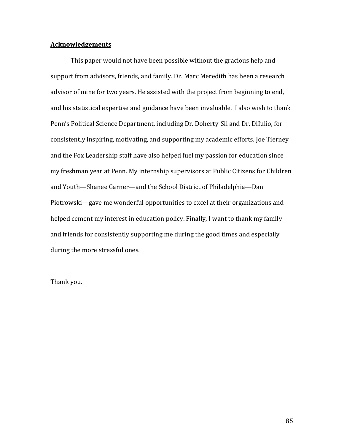# **Acknowledgements**

This paper would not have been possible without the gracious help and support from advisors, friends, and family. Dr. Marc Meredith has been a research advisor of mine for two years. He assisted with the project from beginning to end, and his statistical expertise and guidance have been invaluable. I also wish to thank Penn's Political Science Department, including Dr. Doherty-Sil and Dr. DiIulio, for consistently inspiring, motivating, and supporting my academic efforts. Joe Tierney and the Fox Leadership staff have also helped fuel my passion for education since my freshman year at Penn. My internship supervisors at Public Citizens for Children and Youth—Shanee Garner—and the School District of Philadelphia—Dan Piotrowski—gave me wonderful opportunities to excel at their organizations and helped cement my interest in education policy. Finally, I want to thank my family and friends for consistently supporting me during the good times and especially during the more stressful ones.

Thank you.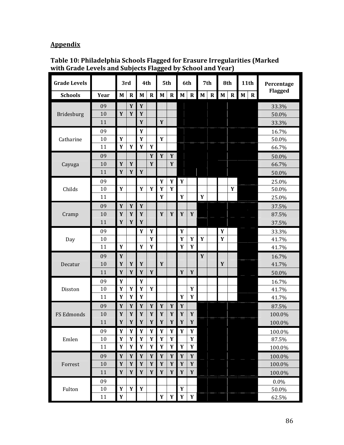# **Appendix**

| <b>Grade Levels</b> |      |                           | 3rd         |              | 4th         |             | 5th         |                           | 6th          |             | 7th          |              | 8th         | 11th         |              | Percentage |
|---------------------|------|---------------------------|-------------|--------------|-------------|-------------|-------------|---------------------------|--------------|-------------|--------------|--------------|-------------|--------------|--------------|------------|
| <b>Schools</b>      | Year | $\mathbf{M}$              | $\mathbf R$ | $\mathbf{M}$ | $\mathbf R$ | M           | $\mathbf R$ | M                         | $\mathbf{R}$ | $\mathbf M$ | $\mathbf{R}$ | $\mathbf{M}$ | $\mathbf R$ | $\mathbf{M}$ | $\mathbf{R}$ | Flagged    |
|                     | 09   |                           | Y           | $\mathbf Y$  |             |             |             |                           |              |             |              |              |             |              |              | 33.3%      |
| Bridesburg          | 10   | $\mathbf Y$               | Y           | Y            |             |             |             |                           |              |             |              |              |             |              |              | 50.0%      |
|                     | 11   |                           |             | Y            |             | Y           |             |                           |              |             |              |              |             |              |              | 33.3%      |
|                     | 09   |                           |             | Y            |             |             |             |                           |              |             |              |              |             |              |              | 16.7%      |
| Catharine           | 10   | Y                         |             | Y            |             | Y           |             |                           |              |             |              |              |             |              |              | 50.0%      |
|                     | 11   | Y                         | Y           | Y            | Y           |             |             |                           |              |             |              |              |             |              |              | 66.7%      |
|                     | 09   |                           |             |              | Y           | $\mathbf Y$ | $\mathbf Y$ |                           |              |             |              |              |             |              |              | 50.0%      |
| Cayuga              | 10   | Y                         | Y           |              | Y           |             | Y           |                           |              |             |              |              |             |              |              | 66.7%      |
|                     | 11   | Y                         | Y           | Y            |             |             |             |                           |              |             |              |              |             |              |              | 50.0%      |
|                     | 09   |                           |             |              |             | Y           | Y           | Y                         |              |             |              |              |             |              |              | 25.0%      |
| Childs              | 10   | Y                         |             | Y            | Y           | Y           | Y           |                           |              |             |              |              | Y           |              |              | 50.0%      |
|                     | 11   |                           |             |              |             | $\mathbf Y$ |             | Y                         |              | Y           |              |              |             |              |              | 25.0%      |
|                     | 09   | Y                         | $\mathbf Y$ | $\mathbf Y$  |             |             |             |                           |              |             |              |              |             |              |              | 37.5%      |
| Cramp               | 10   | Y                         | Y           | Y            |             | $\mathbf Y$ | $\pmb{Y}$   | $\mathbf Y$               | $\mathbf Y$  |             |              |              |             |              |              | 87.5%      |
|                     | 11   | Y                         | Y           | Y            |             |             |             |                           |              |             |              |              |             |              |              | 37.5%      |
|                     | 09   |                           |             | Y            | Y           |             |             | Y                         |              |             |              | $\pmb{Y}$    |             |              |              | 33.3%      |
| Day                 | 10   |                           |             |              | Y           |             |             | Y                         | Y            | Y           |              | Y            |             |              |              | 41.7%      |
|                     | 11   | Y                         |             | Y            | Y           |             |             | Y                         | Y            |             |              |              |             |              |              | 41.7%      |
|                     | 09   | Y                         |             |              |             |             |             |                           |              | Y           |              |              |             |              |              | 16.7%      |
| Decatur             | 10   | Y                         | Y           | Y            |             | Y           |             |                           |              |             |              | Y            |             |              |              | 41.7%      |
|                     | 11   | $\mathbf Y$               | Y           | Y            | $\mathbf Y$ |             |             | Y                         | $\mathbf Y$  |             |              |              |             |              |              | 50.0%      |
|                     | 09   | $\mathbf Y$               |             | $\mathbf Y$  |             |             |             |                           |              |             |              |              |             |              |              | 16.7%      |
| Disston             | 10   | Y                         | Y           | Y            | $\mathbf Y$ |             |             |                           | Y            |             |              |              |             |              |              | 41.7%      |
|                     | 11   | Y                         | Y           | Y            |             |             |             | Y                         | Y            |             |              |              |             |              |              | 41.7%      |
|                     | 09   | Y                         | Y           | Y            | Y           | Y           | Y           | Y                         |              |             |              |              |             |              |              | 87.5%      |
| FS Edmonds          | 10   | Y                         | Y           | Y            | Y           | Y           | Y           | Y                         | Y            |             |              |              |             |              |              | 100.0%     |
|                     | 11   | Y                         | $\mathbf Y$ | $\pmb{Y}$    | $\mathbf Y$ | $\pmb{Y}$   | $\mathbf Y$ | $\pmb{Y}$                 | $\mathbf{Y}$ |             |              |              |             |              |              | 100.0%     |
|                     | 09   | Y                         | Y           | Y            | Y           | Y           | Y           | Y                         | Y            |             |              |              |             |              |              | 100.0%     |
| Emlen               | 10   | $\mathbf Y$               | $\pmb{Y}$   | Y            | $\pmb{Y}$   | Y           | $\mathbf Y$ |                           | $\pmb{Y}$    |             |              |              |             |              |              | 87.5%      |
|                     | 11   | $\boldsymbol{\mathsf{Y}}$ | $\mathbf Y$ | Y            | $\pmb{Y}$   | Y           | $\pmb{Y}$   | $\boldsymbol{\mathsf{Y}}$ | $\mathbf Y$  |             |              |              |             |              |              | 100.0%     |
|                     | 09   | $\pmb{Y}$                 | $\mathbf Y$ | $\mathbf Y$  | $\mathbf Y$ | $\mathbf Y$ | $\mathbf Y$ | $\mathbf Y$               | $\mathbf Y$  |             |              |              |             |              |              | 100.0%     |
| Forrest             | 10   | $\mathbf Y$               | $\mathbf Y$ | $\mathbf Y$  | $\mathbf Y$ | $\mathbf Y$ | $\mathbf Y$ | $\mathbf Y$               | $\mathbf Y$  |             |              |              |             |              |              | 100.0%     |
|                     | 11   | $\mathbf Y$               | $\pmb{Y}$   | $\mathbf Y$  | $\pmb{Y}$   | $\mathbf Y$ | $\mathbf Y$ | $\mathbf Y$               | $\mathbf Y$  |             |              |              |             |              |              | 100.0%     |
|                     | 09   |                           |             |              |             |             |             |                           |              |             |              |              |             |              |              | 0.0%       |
| Fulton              | 10   | Y                         | $\pmb{Y}$   | Y            |             |             |             | $\mathbf Y$               |              |             |              |              |             |              |              | 50.0%      |
|                     | 11   | Y                         |             |              |             | $\mathbf Y$ | Y           | $\mathbf Y$               | Y            |             |              |              |             |              |              | 62.5%      |

**Table 10: Philadelphia Schools Flagged for Erasure Irregularities (Marked with Grade Levels and Subjects Flagged by School and Year)**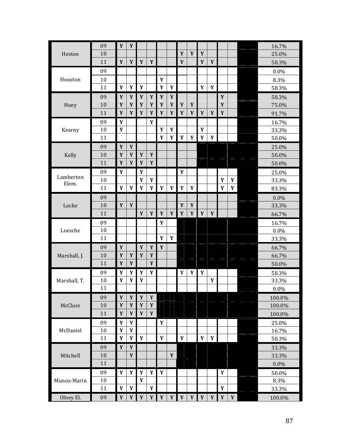| Heston             | 09 | Y                         | $\mathbf Y$  |             |             |             |             |           |             |             |             |             |           | 16.7%  |
|--------------------|----|---------------------------|--------------|-------------|-------------|-------------|-------------|-----------|-------------|-------------|-------------|-------------|-----------|--------|
|                    | 10 |                           |              |             |             |             |             | Y         | $\mathbf Y$ | Y           |             |             |           | 25.0%  |
|                    | 11 | Y                         | $\mathbf Y$  | Y           | $\mathbf Y$ |             |             | Y         |             | Y           | Y           |             |           | 58.3%  |
|                    | 09 |                           |              |             |             |             |             |           |             |             |             |             |           | 0.0%   |
| Houston            | 10 |                           |              |             |             | Y           |             |           |             |             |             |             |           | 8.3%   |
|                    | 11 | $\mathbf Y$               | Y            | $\pmb{Y}$   |             | Y           | Y           |           |             | Y           | Y           |             |           | 58.3%  |
|                    | 09 | Y                         | Y            | Y           | Y           | Y           | Y           |           |             |             |             | Y           |           | 58.3%  |
| Huey               | 10 | $\boldsymbol{\mathsf{Y}}$ | $\mathbf Y$  | $\mathbf Y$ | $\mathbf Y$ | $\mathbf Y$ | $\pmb{Y}$   | Y         | $\mathbf Y$ |             |             | Y           |           | 75.0%  |
|                    | 11 | Y                         | $\mathbf Y$  | $\mathbf Y$ | $\mathbf Y$ | $\mathbf Y$ | $\mathbf Y$ | Y         | $\mathbf Y$ | $\mathbf Y$ | $\mathbf Y$ | $\mathbf Y$ |           | 91.7%  |
|                    | 09 | Y                         |              |             | Y           |             |             |           |             |             |             |             |           | 16.7%  |
| Kearny             | 10 | Y                         |              |             |             | Y           | $\mathbf Y$ |           |             | $\mathbf Y$ |             |             |           | 33.3%  |
|                    | 11 |                           |              |             |             | Y           | Y           | Y         | Y           | Y           | Y           |             |           | 50.0%  |
|                    | 09 | $\boldsymbol{\mathsf{Y}}$ | $\mathbf Y$  |             |             |             |             |           |             |             |             |             |           | 25.0%  |
| Kelly              | 10 | Y                         | Y            | Y           | $\pmb{Y}$   |             |             |           |             |             |             |             |           | 50.0%  |
|                    | 11 | $\boldsymbol{\mathsf{Y}}$ | $\mathbf Y$  | Y           | $\mathbf Y$ |             |             |           |             |             |             |             |           | 50.0%  |
|                    | 09 | Y                         |              | $\pmb{Y}$   |             |             |             | Y         |             |             |             |             |           | 25.0%  |
| Lamberton<br>Elem. | 10 |                           |              | Y           | Y           |             |             |           |             |             |             | Y           | $\pmb{Y}$ | 33.3%  |
|                    | 11 | Y                         | $\mathbf Y$  | $\pmb{Y}$   | Y           | $\pmb{Y}$   | Y           | Y         | Y           |             |             | Y           | Y         | 83.3%  |
| Locke              | 09 |                           |              |             |             |             |             |           |             |             |             |             |           | 0.0%   |
|                    | 10 | Y                         | $\mathbf Y$  |             |             |             |             | Y         | Y           |             |             |             |           | 33.3%  |
|                    | 11 |                           |              | $\pmb{Y}$   | $\pmb{Y}$   | $\mathbf Y$ | $\mathbf Y$ | $\pmb{Y}$ | $\pmb{Y}$   | $\mathbf Y$ | Y           |             |           | 66.7%  |
|                    | 09 |                           |              |             |             | Y           |             |           |             |             |             |             |           | 16.7%  |
| Loesche            | 10 |                           |              |             |             |             |             |           |             |             |             |             |           | 0.0%   |
|                    | 11 |                           |              |             |             | Y           | Y           |           |             |             |             |             |           | 33.3%  |
|                    | 09 | $\boldsymbol{\mathsf{Y}}$ |              | $\pmb{Y}$   | $\pmb{Y}$   | $\mathbf Y$ |             |           |             |             |             |             |           | 66.7%  |
| Marshall, J.       | 10 | Y                         | Y            | $\mathbf Y$ | $\mathbf Y$ |             |             |           |             |             |             |             |           | 66.7%  |
|                    | 11 | $\mathbf Y$               | Y            |             | Y           |             |             |           |             |             |             |             |           | 50.0%  |
|                    | 09 | Y                         | $\pmb{Y}$    | $\pmb{Y}$   | $\pmb{Y}$   |             |             | $\pmb{Y}$ | $\pmb{Y}$   | Y           |             |             |           | 58.3%  |
| Marshall, T.       | 10 | Y                         | Y            | Y           |             |             |             |           |             |             | $\pmb{Y}$   |             |           | 33.3%  |
|                    | 11 |                           |              |             |             |             |             |           |             |             |             |             |           | 0.0%   |
|                    | 09 | $\mathbf Y$               | Y            | $\mathbf Y$ | $\mathbf Y$ |             |             |           |             |             |             |             |           | 100.0% |
| McClure            | 10 | $\pmb{Y}$                 | $\mathbf Y$  | $\pmb{Y}$   | $\mathbf Y$ |             |             |           |             |             |             |             |           | 100.0% |
|                    | 11 | $\pmb{Y}$                 | $\mathbf{Y}$ | Y           | $\pmb{Y}$   |             |             |           |             |             |             |             |           | 100.0% |
|                    | 09 | Y                         | $\pmb{Y}$    |             |             | Y           |             |           |             |             |             |             |           | 25.0%  |
| McDaniel           | 10 | Y                         | $\mathbf{Y}$ |             |             |             |             |           |             |             |             |             |           | 16.7%  |
|                    | 11 | $\pmb{Y}$                 | $\pmb{Y}$    | $\mathbf Y$ |             | $\pmb{Y}$   |             | $\pmb{Y}$ |             | $\pmb{Y}$   | Y           |             |           | 58.3%  |
|                    | 09 | $\pmb{Y}$                 | $\mathbf Y$  |             |             |             |             |           |             |             |             |             |           | 33.3%  |
| Mitchell           | 10 |                           | $\mathbf Y$  |             |             |             | $\pmb{Y}$   |           |             |             |             |             |           | 33.3%  |
|                    | 11 |                           |              |             |             |             |             |           |             |             |             |             |           | 0.0%   |
|                    | 09 | $\pmb{Y}$                 | $\pmb{Y}$    | $\pmb{Y}$   | $\pmb{Y}$   | $\pmb{Y}$   |             |           |             |             |             | Y           |           | 50.0%  |
| Munoz-Marin        | 10 |                           |              | Y           |             |             |             |           |             |             |             |             |           | 8.3%   |
|                    | 11 | Y                         | Y            |             | Y           |             |             |           |             |             |             | Y           |           | 33.3%  |
| Olney El.          | 09 | $\pmb{Y}$                 | $\pmb{Y}$    | $\pmb{Y}$   | $\pmb{Y}$   | $\pmb{Y}$   | $\pmb{Y}$   | $\pmb{Y}$ | $\pmb{Y}$   | Y           | $\pmb{Y}$   | Y           | $\pmb{Y}$ | 100.0% |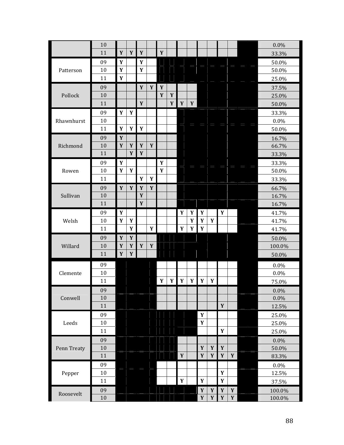|             | 10     |              |             |             |             |             |             |             |             |             |              |             |             | 0.0%    |
|-------------|--------|--------------|-------------|-------------|-------------|-------------|-------------|-------------|-------------|-------------|--------------|-------------|-------------|---------|
|             | 11     | $\mathbf Y$  | $\mathbf Y$ | $\mathbf Y$ |             | $\mathbf Y$ |             |             |             |             |              |             |             | 33.3%   |
|             | 09     | Y            |             | Y           |             |             |             |             |             |             |              |             |             | 50.0%   |
| Patterson   | 10     | $\mathbf Y$  |             | Y           |             |             |             |             |             |             |              |             |             | 50.0%   |
|             | 11     | $\pmb{Y}$    |             |             |             |             |             |             |             |             |              |             |             | 25.0%   |
|             | 09     |              |             | $\mathbf Y$ | Y           | $\mathbf Y$ |             |             |             |             |              |             |             | 37.5%   |
| Pollock     | 10     |              |             |             |             | $\mathbf Y$ | $\mathbf Y$ |             |             |             |              |             |             | 25.0%   |
|             | 11     |              |             | $\mathbf Y$ |             |             | Y           | Y           | $\mathbf Y$ |             |              |             |             | 50.0%   |
|             | 09     | Y            | Y           |             |             |             |             |             |             |             |              |             |             | 33.3%   |
| Rhawnhurst  | 10     |              |             |             |             |             |             |             |             |             |              |             |             | 0.0%    |
|             | 11     | $\pmb{Y}$    | $\pmb{Y}$   | $\pmb{Y}$   |             |             |             |             |             |             |              |             |             | 50.0%   |
|             | 09     | Y            |             |             |             |             |             |             |             |             |              |             |             | 16.7%   |
| Richmond    | 10     | Y            | Y           | Y           | $\mathbf Y$ |             |             |             |             |             |              |             |             | 66.7%   |
|             | 11     |              | $\mathbf Y$ | $\pmb{Y}$   |             |             |             |             |             |             |              |             |             | 33.3%   |
|             | 09     | $\mathbf Y$  |             |             |             | Y           |             |             |             |             |              |             |             | 33.3%   |
| Rowen       | 10     | Y            | $\pmb{Y}$   |             |             | Y           |             |             |             |             |              |             |             | 50.0%   |
|             | 11     |              |             | Y           | Y           |             |             |             |             |             |              |             |             | 33.3%   |
|             | 09     | $\mathbf Y$  | $\pmb{Y}$   | $\mathbf Y$ | $\mathbf Y$ |             |             |             |             |             |              |             |             | 66.7%   |
| Sullivan    | 10     |              |             | $\mathbf Y$ |             |             |             |             |             |             |              |             |             | 16.7%   |
|             | 11     |              |             | $\mathbf Y$ |             |             |             |             |             |             |              |             |             | 16.7%   |
|             | 09     | $\pmb{Y}$    |             |             |             |             |             | Y           | Y           | $\mathbf Y$ |              | Y           |             | 41.7%   |
| Welsh       | 10     | $\mathbf Y$  | $\mathbf Y$ |             |             |             |             |             | $\mathbf Y$ | $\pmb{Y}$   | Y            |             |             | 41.7%   |
|             | 11     |              | Y           |             | $\mathbf Y$ |             |             | $\pmb{Y}$   | Y           | $\pmb{Y}$   |              |             |             | 41.7%   |
|             | 09     | $\mathbf{Y}$ | Y           |             |             |             |             |             |             |             |              |             |             | 50.0%   |
| Willard     | 10     | $\mathbf Y$  | $\pmb{Y}$   | Y           | $\pmb{Y}$   |             |             |             |             |             |              |             |             | 100.0%  |
|             | 11     | $\mathbf Y$  | $\mathbf Y$ |             |             |             |             |             |             |             |              |             |             | 50.0%   |
|             | 09     |              |             |             |             |             |             |             |             |             |              |             |             | 0.0%    |
| Clemente    | $10\,$ |              |             |             |             |             |             |             |             |             |              |             |             | 0.0%    |
|             | 11     |              |             |             |             | Y           | Y           | Y           | Y           | Y           | Y            |             |             | 75.0%   |
|             | 09     |              |             |             |             |             |             |             |             |             |              |             |             | $0.0\%$ |
| Conwell     | 10     |              |             |             |             |             |             |             |             |             |              |             |             | $0.0\%$ |
|             | 11     |              |             |             |             |             |             |             |             |             |              | $\pmb{Y}$   |             | 12.5%   |
|             | 09     |              |             |             |             |             |             |             |             | $\mathbf Y$ |              |             |             | 25.0%   |
| Leeds       | 10     |              |             |             |             |             |             |             |             | $\pmb{Y}$   |              |             |             | 25.0%   |
|             | 11     |              |             |             |             |             |             |             |             |             |              | $\pmb{Y}$   |             | 25.0%   |
|             | 09     |              |             |             |             |             |             |             |             |             |              |             |             | 0.0%    |
| Penn Treaty | 10     |              |             |             |             |             |             |             |             | $\mathbf Y$ | $\mathbf{Y}$ | $\mathbf Y$ |             | 50.0%   |
|             | 11     |              |             |             |             |             |             | $\mathbf Y$ |             | $\pmb{Y}$   | $\mathbf{Y}$ | $\pmb{Y}$   | $\pmb{Y}$   | 83.3%   |
|             | 09     |              |             |             |             |             |             |             |             |             |              |             |             | 0.0%    |
| Pepper      | $10\,$ |              |             |             |             |             |             |             |             |             |              | $\pmb{Y}$   |             | 12.5%   |
|             | 11     |              |             |             |             |             |             | $\pmb{Y}$   |             | $\mathbf Y$ |              | $\mathbf Y$ |             | 37.5%   |
| Roosevelt   | 09     |              |             |             |             |             |             |             |             | $\mathbf Y$ | $\pmb{Y}$    | $\pmb{Y}$   | $\pmb{Y}$   | 100.0%  |
|             | $10\,$ |              |             |             |             |             |             |             |             | $\pmb{Y}$   | $\pmb{Y}$    | $\pmb{Y}$   | $\mathbf Y$ | 100.0%  |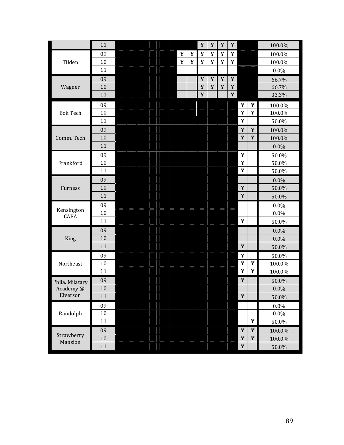|                       | 11     |  |             |           | $\mathbf Y$ | $\mathbf Y$ | Y           | $\mathbf Y$ |              |              | 100.0%  |
|-----------------------|--------|--|-------------|-----------|-------------|-------------|-------------|-------------|--------------|--------------|---------|
|                       | 09     |  | $\pmb{Y}$   | $\pmb{Y}$ | $\mathbf Y$ | Y           | $\mathbf Y$ | $\pmb{Y}$   |              |              | 100.0%  |
| Tilden                | 10     |  | $\mathbf Y$ | $\pmb{Y}$ | Y           | $\pmb{Y}$   | $\mathbf Y$ | Y           |              |              | 100.0%  |
|                       | 11     |  |             |           |             |             |             |             |              |              | 0.0%    |
|                       | 09     |  |             |           | $\mathbf Y$ | Y           | Y           | Y           |              |              | 66.7%   |
| Wagner                | 10     |  |             |           | $\mathbf Y$ | $\mathbf Y$ | Y           | Y           |              |              | 66.7%   |
|                       | 11     |  |             |           | $\mathbf Y$ |             |             | $\mathbf Y$ |              |              | 33.3%   |
|                       | 09     |  |             |           |             |             |             |             | $\mathbf Y$  | $\mathbf{Y}$ | 100.0%  |
| <b>Bok Tech</b>       | 10     |  |             |           |             |             |             |             | Y            | $\mathbf Y$  | 100.0%  |
|                       | 11     |  |             |           |             |             |             |             | $\mathbf Y$  |              | 50.0%   |
|                       | 09     |  |             |           |             |             |             |             | $\mathbf Y$  | $\mathbf Y$  | 100.0%  |
| Comm. Tech            | 10     |  |             |           |             |             |             |             | $\mathbf Y$  | Y            | 100.0%  |
|                       | 11     |  |             |           |             |             |             |             |              |              | $0.0\%$ |
|                       | 09     |  |             |           |             |             |             |             | $\mathbf Y$  |              | 50.0%   |
| Frankford             | 10     |  |             |           |             |             |             |             | Y            |              | 50.0%   |
|                       | 11     |  |             |           |             |             |             |             | $\mathbf Y$  |              | 50.0%   |
|                       | 09     |  |             |           |             |             |             |             |              |              | $0.0\%$ |
| Furness               | 10     |  |             |           |             |             |             |             | $\mathbf Y$  |              | 50.0%   |
|                       | 11     |  |             |           |             |             |             |             | Y            |              | 50.0%   |
|                       | 09     |  |             |           |             |             |             |             |              |              | $0.0\%$ |
| Kensington<br>CAPA    | 10     |  |             |           |             |             |             |             |              |              | $0.0\%$ |
|                       | 11     |  |             |           |             |             |             |             | Y            |              | 50.0%   |
|                       | 09     |  |             |           |             |             |             |             |              |              | $0.0\%$ |
| King                  | 10     |  |             |           |             |             |             |             |              |              | $0.0\%$ |
|                       | 11     |  |             |           |             |             |             |             | Y            |              | 50.0%   |
|                       | 09     |  |             |           |             |             |             |             | Y            |              | 50.0%   |
| Northeast             | 10     |  |             |           |             |             |             |             | $\mathbf{Y}$ | $\mathbf Y$  | 100.0%  |
|                       | 11     |  |             |           |             |             |             |             | $\mathbf Y$  | $\pmb{Y}$    | 100.0%  |
| Phila. Milatary       | 09     |  |             |           |             |             |             |             | $\mathbf Y$  |              | 50.0%   |
| Academy@              | 10     |  |             |           |             |             |             |             |              |              | 0.0%    |
| Elverson              | 11     |  |             |           |             |             |             |             | $\mathbf Y$  |              | 50.0%   |
|                       | 09     |  |             |           |             |             |             |             |              |              | 0.0%    |
| Randolph              | $10\,$ |  |             |           |             |             |             |             |              |              | $0.0\%$ |
|                       | 11     |  |             |           |             |             |             |             |              | $\mathbf Y$  | 50.0%   |
|                       | 09     |  |             |           |             |             |             |             | $\mathbf{Y}$ | $\mathbf{Y}$ | 100.0%  |
| Strawberry<br>Mansion | 10     |  |             |           |             |             |             |             | $\pmb{Y}$    | Y            | 100.0%  |
|                       | 11     |  |             |           |             |             |             |             | $\mathbf Y$  |              | 50.0%   |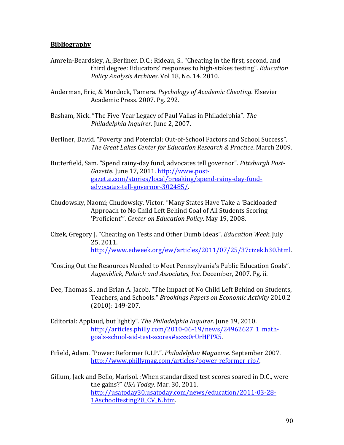# **Bibliography**

- Amrein-Beardsley, A.;Berliner, D.C.; Rideau, S.. "Cheating in the first, second, and third degree: Educators' responses to high-stakes testing". *Education Policy Analysis Archives*. Vol 18, No. 14. 2010.
- Anderman, Eric, & Murdock, Tamera. *Psychology of Academic Cheating*. Elsevier Academic Press. 2007. Pg. 292.
- Basham, Nick. "The Five-Year Legacy of Paul Vallas in Philadelphia". The *Philadelphia Inquirer*. June 2, 2007.
- Berliner, David. "Poverty and Potential: Out-of-School Factors and School Success". *The Great Lakes Center for Education Research & Practice*. March 2009.
- Butterfield, Sam. "Spend rainy-day fund, advocates tell governor". Pittsburgh Post-Gazette. June 17, 2011. http://www.postgazette.com/stories/local/breaking/spend‐rainy‐day‐fund‐ advocates‐tell‐governor‐302485/.
- Chudowsky, Naomi; Chudowsky, Victor. "Many States Have Take a 'Backloaded' Approach to No Child Left Behind Goal of All Students Scoring 'Proficient'". Center on *Education Policy*. May 19, 2008.
- Cizek, Gregory J. "Cheating on Tests and Other Dumb Ideas". *Education Week*. July 25, 2011. http://www.edweek.org/ew/articles/2011/07/25/37cizek.h30.html.
- "Costing Out the Resources Needed to Meet Pennsylvania's Public Education Goals". *Augenblick, Palaich and Associates, Inc.* December, 2007. Pg. ii.
- Dee, Thomas S., and Brian A. Jacob. "The Impact of No Child Left Behind on Students, Teachers, and Schools." *Brookings Papers on Economic Activity* 2010.2  $(2010): 149-207.$
- Editorial: Applaud, but lightly". The Philadelphia Inquirer. June 19, 2010. http://articles.philly.com/2010-06-19/news/24962627\_1\_mathgoals‐school‐aid‐test‐scores#axzz0rUrHFPX5.
- Fifield, Adam. "Power: Reformer R.I.P.". *Philadelphia Magazine*. September 2007. http://www.phillymag.com/articles/power‐reformer‐rip/.
- Gillum, Jack and Bello, Marisol. : When standardized test scores soared in D.C., were the gains?" *USA Today*. Mar. 30, 2011. http://usatoday30.usatoday.com/news/education/2011‐03‐28‐ 1Aschooltesting28 CV\_N.htm.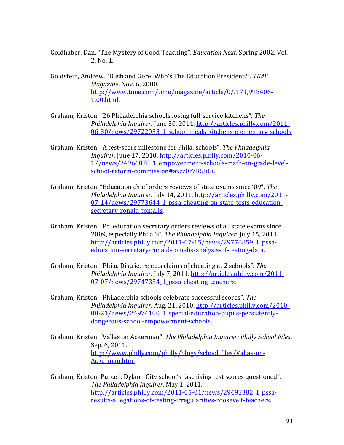Goldhaber, Dan. "The Mystery of Good Teaching". *Education Next*. Spring 2002. Vol. 2, No. 1.

Goldstein, Andrew. "Bush and Gore: Who's The Education President?". TIME *Magazine*. Nov. 6, 2000. http://www.time.com/time/magazine/article/0,9171,998406‐ 1,00.html. 

Graham, Kristen. "26 Philadelphia schools losing full-service kitchens". The *Philadelphia Inquirer.* June 30, 2011. http://articles.philly.com/2011-06‐30/news/29722033\_1\_school‐meals‐kitchens‐elementary‐schools.

Graham, Kristen. "A test-score milestone for Phila. schools". The Philadelphia *Inquirer*. June 17, 2010. http://articles.philly.com/2010-06-17/news/24966078\_1\_empowerment-schools-math-on-grade-levelschool‐reform‐commission#axzz0r7R5IiGi. 

Graham, Kristen. "Education chief orders reviews of state exams since '09". The *Philadelphia Inquirer.* July 14, 2011. http://articles.philly.com/2011-07-14/news/29773644\_1\_pssa-cheating-on-state-tests-educationsecretary‐ronald‐tomalis. 

Graham, Kristen. "Pa. education secretary orders reviews of all state exams since 2009, especially Phila.'s". *The Philadelphia Inquirer*. July 15, 2011. http://articles.philly.com/2011-07-15/news/29776859\_1\_pssaeducation‐secretary‐ronald‐tomalis‐analysis‐of‐testing‐data. 

Graham, Kristen. "Phila. District rejects claims of cheating at 2 schools". The *Philadelphia Inquirer*. July 7, 2011. http://articles.philly.com/2011‐ 07-07/news/29747354\_1\_pssa-cheating-teachers.

Graham, Kristen. "Philadelphia schools celebrate successful scores". The *Philadelphia Inquirer*. Aug. 21, 2010. http://articles.philly.com/2010‐ 08-21/news/24974100\_1\_special-education-pupils-persistentlydangerous‐school‐empowerment‐schools. 

Graham, Kristen. "Vallas on Ackerman". *The Philadelphia Inquirer: Philly School Files*. Sep. 6, 2011. http://www.philly.com/philly/blogs/school\_files/Vallas-on-Ackerman.html. 

Graham, Kristen; Purcell, Dylan. "City school's fast rising test scores questioned". *The Philadelphia Inquirer*. May 1, 2011. http://articles.philly.com/2011-05-01/news/29493382\_1\_pssaresults‐allegations‐of‐testing‐irregularities‐roosevelt‐teachers.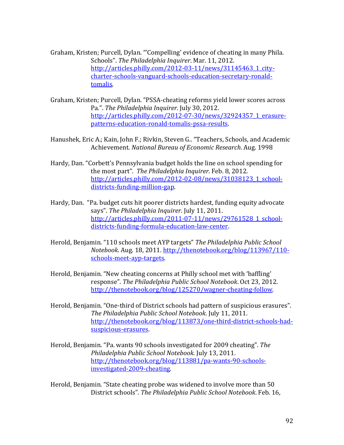- Graham, Kristen; Purcell, Dylan. "'Compelling' evidence of cheating in many Phila. Schools". The Philadelphia Inquirer. Mar. 11, 2012. http://articles.philly.com/2012-03-11/news/31145463\_1\_citycharter‐schools‐vanguard‐schools‐education‐secretary‐ronald‐ tomalis.
- Graham, Kristen; Purcell, Dylan. "PSSA-cheating reforms vield lower scores across Pa.". The Philadelphia Inquirer. July 30, 2012. http://articles.philly.com/2012-07-30/news/32924357\_1\_erasurepatterns‐education‐ronald‐tomalis‐pssa‐results.
- Hanushek, Eric A.; Kain, John F.; Rivkin, Steven G.. "Teachers, Schools, and Academic Achievement. *National Bureau of Economic Research*. Aug. 1998
- Hardy, Dan. "Corbett's Pennsylvania budget holds the line on school spending for the most part". The *Philadelphia Inquirer*. Feb. 8, 2012. http://articles.philly.com/2012-02-08/news/31038123\_1\_schooldistricts‐funding‐million‐gap.
- Hardy, Dan. "Pa. budget cuts hit poorer districts hardest, funding equity advocate says". The Philadelphia Inquirer. July 11, 2011. http://articles.philly.com/2011-07-11/news/29761528\_1\_schooldistricts‐funding‐formula‐education‐law‐center.
- Herold, Benjamin. "110 schools meet AYP targets" *The Philadelphia Public School Notebook*. Aug. 18, 2011. http://thenotebook.org/blog/113967/110‐ schools‐meet‐ayp‐targets.
- Herold, Benjamin. "New cheating concerns at Philly school met with 'baffling' response". *The Philadelphia Public School Notebook*. Oct 23, 2012. http://thenotebook.org/blog/125270/wagner-cheating-follow.
- Herold, Benjamin. "One-third of District schools had pattern of suspicious erasures". *The Philadelphia Public School Notebook*. July 11, 2011. http://thenotebook.org/blog/113873/one-third-district-schools-hadsuspicious‐erasures.
- Herold, Benjamin. "Pa. wants 90 schools investigated for 2009 cheating". The *Philadelphia Public School Notebook*. July 13, 2011. http://thenotebook.org/blog/113881/pa-wants-90-schoolsinvestigated‐2009‐cheating.
- Herold, Benjamin. "State cheating probe was widened to involve more than 50 District schools". *The Philadelphia Public School Notebook*. Feb. 16,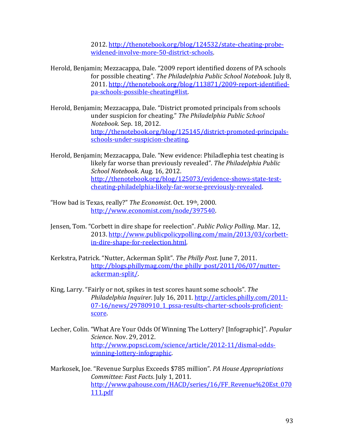2012. http://thenotebook.org/blog/124532/state-cheating-probewidened-involve-more-50-district-schools.

- Herold, Benjamin; Mezzacappa, Dale. "2009 report identified dozens of PA schools for possible cheating". *The Philadelphia Public School Notebook*. July 8, 2011. http://thenotebook.org/blog/113871/2009-report-identifiedpa‐schools‐possible‐cheating#list.
- Herold, Benjamin; Mezzacappa, Dale. "District promoted principals from schools under suspicion for cheating." *The Philadelphia Public School Notebook*. Sep. 18, 2012. http://thenotebook.org/blog/125145/district-promoted-principalsschools‐under‐suspicion‐cheating.
- Herold, Benjamin; Mezzacappa, Dale. "New evidence: Philadlephia test cheating is likely far worse than previously revealed". *The Philadelphia Public School Notebook*. Aug. 16, 2012. http://thenotebook.org/blog/125073/evidence-shows-state-testcheating‐philadelphia‐likely‐far‐worse‐previously‐revealed.
- "How bad is Texas, really?" *The Economist*. Oct. 19th, 2000. http://www.economist.com/node/397540.
- Jensen, Tom. "Corbett in dire shape for reelection". *Public Policy Polling*. Mar. 12, 2013. http://www.publicpolicypolling.com/main/2013/03/corbettin‐dire‐shape‐for‐reelection.html.
- Kerkstra, Patrick. "Nutter, Ackerman Split". The Philly Post. June 7, 2011. http://blogs.phillymag.com/the\_philly\_post/2011/06/07/nutterackerman‐split/.
- King, Larry. "Fairly or not, spikes in test scores haunt some schools". The *Philadelphia Inquirer*. July 16, 2011. http://articles.philly.com/2011‐ 07-16/news/29780910\_1\_pssa-results-charter-schools-proficientscore.
- Lecher, Colin. "What Are Your Odds Of Winning The Lottery? [Infographic]". *Popular Science*. Nov. 29, 2012. http://www.popsci.com/science/article/2012‐11/dismal‐odds‐ winning-lottery-infographic.
- Markosek, Joe. "Revenue Surplus Exceeds \$785 million". *PA House Appropriations Committee: Fast Facts.* July 1, 2011. http://www.pahouse.com/HACD/series/16/FF\_Revenue%20Est\_070 111.pdf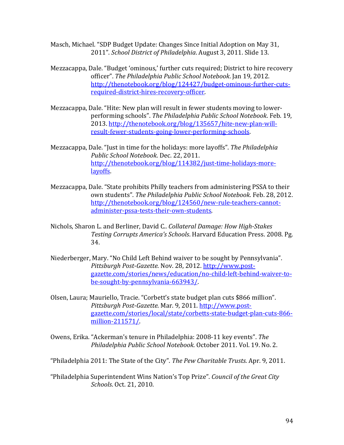Masch, Michael. "SDP Budget Update: Changes Since Initial Adoption on May 31, 2011". School District of Philadelphia. August 3, 2011. Slide 13.

- Mezzacappa, Dale. "Budget 'ominous,' further cuts required; District to hire recovery officer". *The Philadelphia Public School Notebook*. Jan 19, 2012. http://thenotebook.org/blog/124427/budget-ominous-further-cutsrequired‐district‐hires‐recovery‐officer.
- Mezzacappa, Dale. "Hite: New plan will result in fewer students moving to lowerperforming schools". *The Philadelphia Public School Notebook*. Feb. 19, 2013. http://thenotebook.org/blog/135657/hite-new-plan-willresult‐fewer‐students‐going‐lower‐performing‐schools.
- Mezzacappa, Dale. "Just in time for the holidays: more layoffs". The Philadelphia *Public School Notebook*. Dec. 22, 2011. http://thenotebook.org/blog/114382/just-time-holidays-morelayoffs.
- Mezzacappa, Dale. "State prohibits Philly teachers from administering PSSA to their own students". *The Philadelphia Public School Notebook*. Feb. 28, 2012. http://thenotebook.org/blog/124560/new-rule-teachers-cannotadminister‐pssa‐tests‐their‐own‐students.
- Nichols, Sharon L. and Berliner, David C.. *Collateral Damage: How High‐Stakes Testing Corrupts America's Schools*. Harvard Education Press. 2008. Pg. 34.
- Niederberger, Mary. "No Child Left Behind waiver to be sought by Pennsylvania". *Pittsburgh Post‐Gazette*. Nov. 28, 2012. http://www.post‐ gazette.com/stories/news/education/no‐child‐left‐behind‐waiver‐to‐ be‐sought‐by‐pennsylvania‐663943/.
- Olsen, Laura; Mauriello, Tracie. "Corbett's state budget plan cuts \$866 million". *Pittsburgh Post‐Gazette*. Mar. 9, 2011. http://www.post‐ gazette.com/stories/local/state/corbetts‐state‐budget‐plan‐cuts‐866‐ million‐211571/.
- Owens, Erika. "Ackerman's tenure in Philadelphia: 2008-11 key events". The *Philadelphia Public School Notebook*. October 2011. Vol. 19. No. 2.

"Philadelphia 2011: The State of the City". The Pew Charitable Trusts. Apr. 9, 2011.

"Philadelphia Superintendent Wins Nation's Top Prize". *Council of the Great City Schools*. Oct. 21, 2010.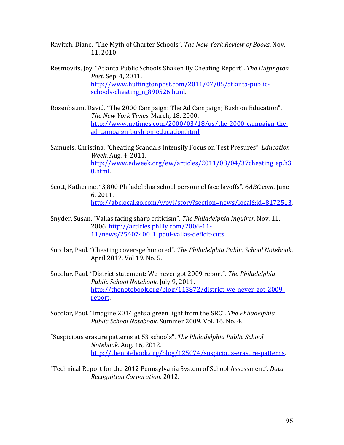Ravitch, Diane. "The Myth of Charter Schools". *The New York Review of Books*. Nov. 11, 2010. 

- Resmovits, Joy. "Atlanta Public Schools Shaken By Cheating Report". *The Huffington Post.* Sep. 4, 2011. http://www.huffingtonpost.com/2011/07/05/atlanta-publicschools-cheating\_n\_890526.html.
- Rosenbaum, David. "The 2000 Campaign: The Ad Campaign; Bush on Education". *The New York Times*. March, 18, 2000. http://www.nytimes.com/2000/03/18/us/the-2000-campaign-thead‐campaign‐bush‐on‐education.html.
- Samuels, Christina. "Cheating Scandals Intensify Focus on Test Presures". *Education Week*. Aug. 4, 2011. http://www.edweek.org/ew/articles/2011/08/04/37cheating\_ep.h3 0.html.
- Scott, Katherine. "3,800 Philadelphia school personnel face layoffs". 6ABC.com. June 6, 2011. http://abclocal.go.com/wpvi/story?section=news/local&id=8172513.
- Snyder, Susan. "Vallas facing sharp criticism". The Philadelphia *Inquirer*. Nov. 11, 2006. http://articles.philly.com/2006‐11‐ 11/news/25407400\_1\_paul-vallas-deficit-cuts.
- Socolar, Paul. "Cheating coverage honored". *The Philadelphia Public School Notebook*. April 2012. Vol 19. No. 5.
- Socolar, Paul. "District statement: We never got 2009 report". *The Philadelphia Public School Notebook.* July 9, 2011. http://thenotebook.org/blog/113872/district-we-never-got-2009report.
- Socolar, Paul. "Imagine 2014 gets a green light from the SRC". *The Philadelphia Public School Notebook*. Summer 2009. Vol. 16. No. 4.
- "Suspicious erasure patterns at 53 schools". *The Philadelphia Public School Notebook*. Aug. 16, 2012. http://thenotebook.org/blog/125074/suspicious-erasure-patterns.
- "Technical Report for the 2012 Pennsylvania System of School Assessment". *Data Recognition Corporation*. 2012.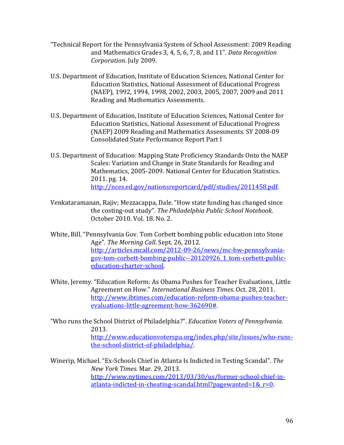- "Technical Report for the Pennsylvania System of School Assessment: 2009 Reading and Mathematics Grades 3, 4, 5, 6, 7, 8, and 11". *Data Recognition Corporation.* July 2009.
- U.S. Department of Education, Institute of Education Sciences, National Center for Education Statistics, National Assessment of Educational Progress (NAEP), 1992, 1994, 1998, 2002, 2003, 2005, 2007, 2009 and 2011 Reading and Mathematics Assessments.
- U.S. Department of Education, Institute of Education Sciences, National Center for Education Statistics, National Assessment of Educational Progress (NAEP) 2009 Reading and Mathematics Assessments. SY 2008-09 Consolidated State Performance Report Part I
- U.S. Department of Education: Mapping State Proficiency Standards Onto the NAEP Scales: Variation and Change in State Standards for Reading and Mathematics, 2005-2009. National Center for Education Statistics. 2011. pg. 14. http://nces.ed.gov/nationsreportcard/pdf/studies/2011458.pdf.
- Venkataramanan, Rajiv; Mezzacappa, Dale. "How state funding has changed since the costing‐out study". *The Philadelphia Public School Notebook*. October 2010. Vol. 18. No. 2.

White, Bill. "Pennsylvania Gov. Tom Corbett bombing public education into Stone Age". The Morning Call. Sept. 26, 2012. http://articles.mcall.com/2012‐09‐26/news/mc‐bw‐pennsylvania‐ gov-tom-corbett-bombing-public--20120926\_1\_tom-corbett-publiceducation‐charter‐school. 

White, Jeremy. "Education Reform: As Obama Pushes for Teacher Evaluations, Little Agreement on How." *International Business Times*. Oct. 28, 2011. http://www.ibtimes.com/education‐reform‐obama‐pushes‐teacher‐ evaluations‐little‐agreement‐how‐362690#. 

"Who runs the School District of Philadelphia?". *Education Voters of Pennsylvania*. 2013. http://www.educationvoterspa.org/index.php/site/issues/who-runsthe‐school‐district‐of‐philadelphia/. 

Winerip, Michael. "Ex-Schools Chief in Atlanta Is Indicted in Testing Scandal". The *New York Times*. Mar. 29, 2013. http://www.nytimes.com/2013/03/30/us/former-school-chief-inatlanta-indicted-in-cheating-scandal.html?pagewanted= $1& r=0$ .